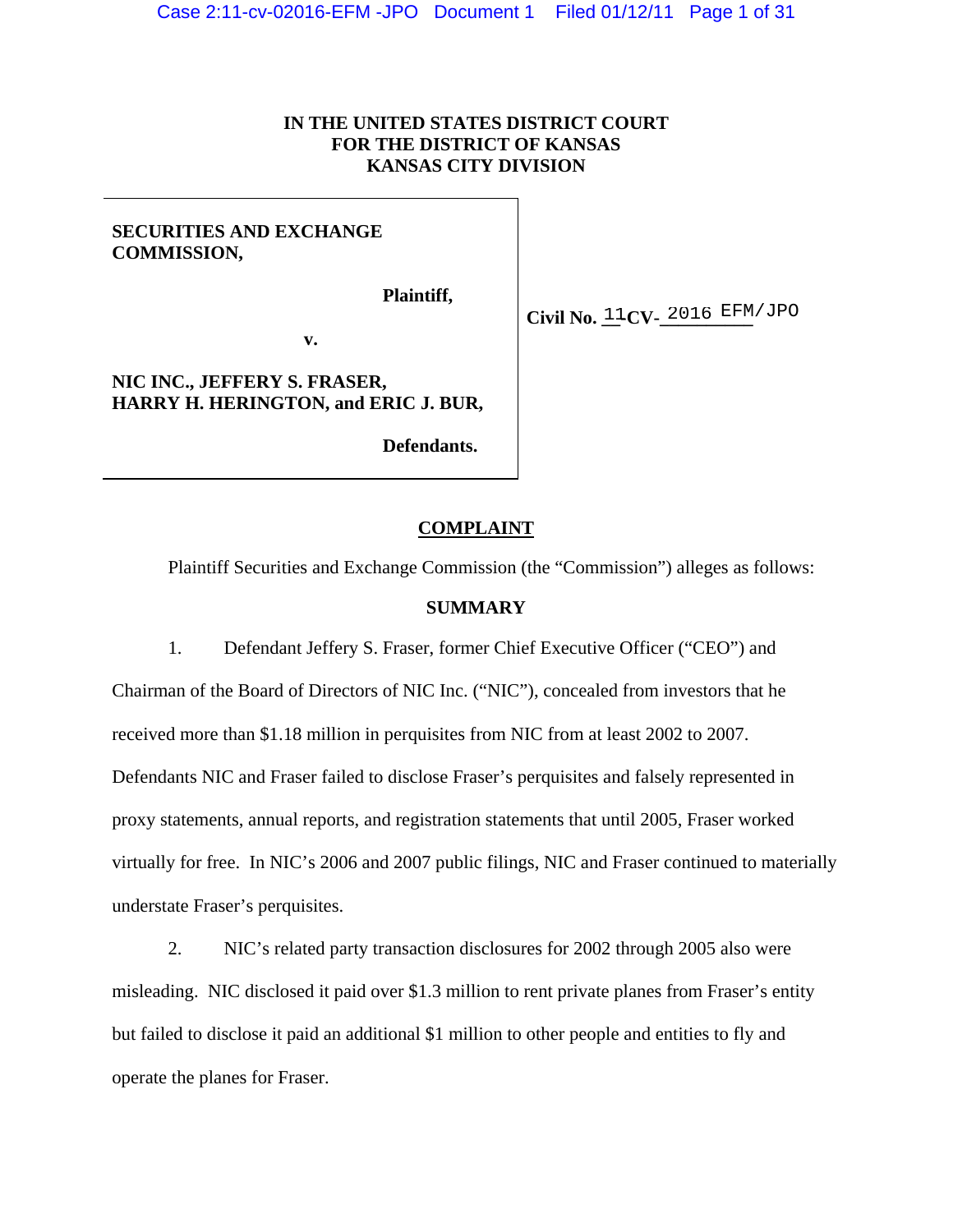## **IN THE UNITED STATES DISTRICT COURT FOR THE DISTRICT OF KANSAS KANSAS CITY DIVISION**

## **SECURITIES AND EXCHANGE COMMISSION,**

**Plaintiff,** 

 $Civil$  No.  $11CV-2016$  EFM/JPO

**v.** 

**NIC INC., JEFFERY S. FRASER, HARRY H. HERINGTON, and ERIC J. BUR,** 

**Defendants.** 

## **COMPLAINT**

Plaintiff Securities and Exchange Commission (the "Commission") alleges as follows:

## **SUMMARY**

1. Defendant Jeffery S. Fraser, former Chief Executive Officer ("CEO") and Chairman of the Board of Directors of NIC Inc. ("NIC"), concealed from investors that he received more than \$1.18 million in perquisites from NIC from at least 2002 to 2007. Defendants NIC and Fraser failed to disclose Fraser's perquisites and falsely represented in proxy statements, annual reports, and registration statements that until 2005, Fraser worked virtually for free. In NIC's 2006 and 2007 public filings, NIC and Fraser continued to materially understate Fraser's perquisites.

2. NIC's related party transaction disclosures for 2002 through 2005 also were misleading. NIC disclosed it paid over \$1.3 million to rent private planes from Fraser's entity but failed to disclose it paid an additional \$1 million to other people and entities to fly and operate the planes for Fraser.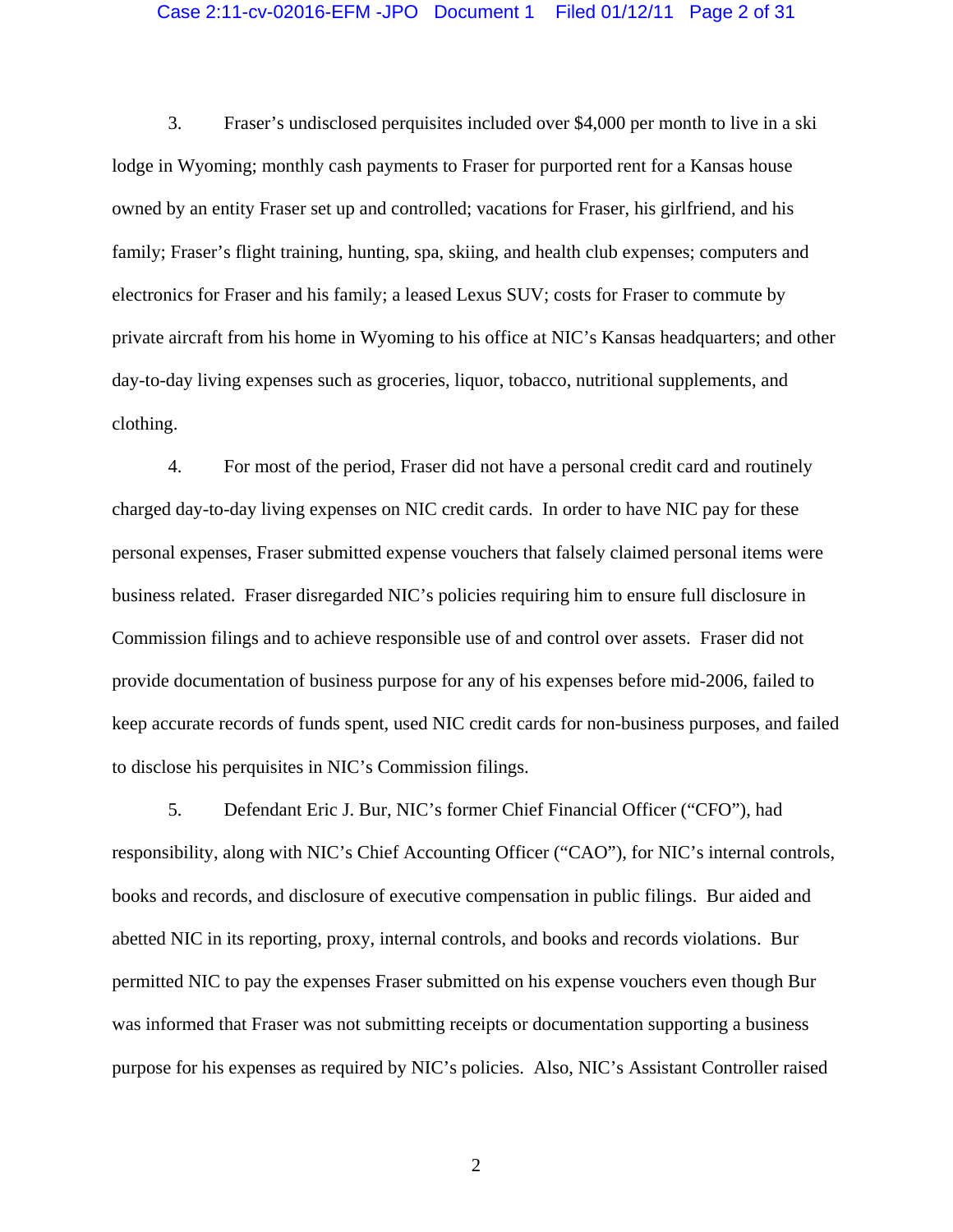## Case 2:11-cv-02016-EFM -JPO Document 1 Filed 01/12/11 Page 2 of 31

3. Fraser's undisclosed perquisites included over \$4,000 per month to live in a ski lodge in Wyoming; monthly cash payments to Fraser for purported rent for a Kansas house owned by an entity Fraser set up and controlled; vacations for Fraser, his girlfriend, and his family; Fraser's flight training, hunting, spa, skiing, and health club expenses; computers and electronics for Fraser and his family; a leased Lexus SUV; costs for Fraser to commute by private aircraft from his home in Wyoming to his office at NIC's Kansas headquarters; and other day-to-day living expenses such as groceries, liquor, tobacco, nutritional supplements, and clothing.

4. For most of the period, Fraser did not have a personal credit card and routinely charged day-to-day living expenses on NIC credit cards. In order to have NIC pay for these personal expenses, Fraser submitted expense vouchers that falsely claimed personal items were business related. Fraser disregarded NIC's policies requiring him to ensure full disclosure in Commission filings and to achieve responsible use of and control over assets. Fraser did not provide documentation of business purpose for any of his expenses before mid-2006, failed to keep accurate records of funds spent, used NIC credit cards for non-business purposes, and failed to disclose his perquisites in NIC's Commission filings.

5. Defendant Eric J. Bur, NIC's former Chief Financial Officer ("CFO"), had responsibility, along with NIC's Chief Accounting Officer ("CAO"), for NIC's internal controls, books and records, and disclosure of executive compensation in public filings. Bur aided and abetted NIC in its reporting, proxy, internal controls, and books and records violations. Bur permitted NIC to pay the expenses Fraser submitted on his expense vouchers even though Bur was informed that Fraser was not submitting receipts or documentation supporting a business purpose for his expenses as required by NIC's policies. Also, NIC's Assistant Controller raised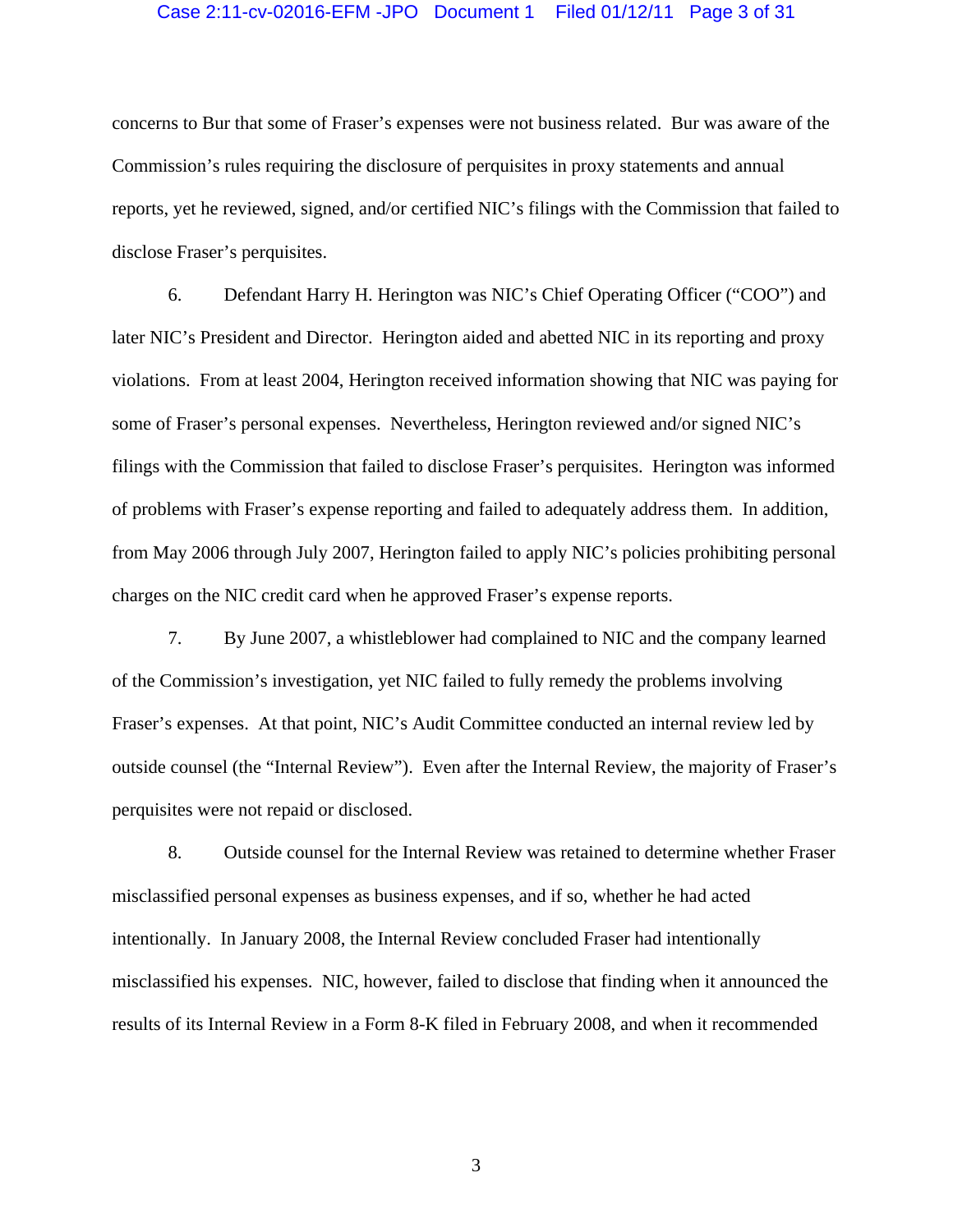### Case 2:11-cv-02016-EFM -JPO Document 1 Filed 01/12/11 Page 3 of 31

concerns to Bur that some of Fraser's expenses were not business related. Bur was aware of the Commission's rules requiring the disclosure of perquisites in proxy statements and annual reports, yet he reviewed, signed, and/or certified NIC's filings with the Commission that failed to disclose Fraser's perquisites.

6. Defendant Harry H. Herington was NIC's Chief Operating Officer ("COO") and later NIC's President and Director. Herington aided and abetted NIC in its reporting and proxy violations. From at least 2004, Herington received information showing that NIC was paying for some of Fraser's personal expenses. Nevertheless, Herington reviewed and/or signed NIC's filings with the Commission that failed to disclose Fraser's perquisites. Herington was informed of problems with Fraser's expense reporting and failed to adequately address them. In addition, from May 2006 through July 2007, Herington failed to apply NIC's policies prohibiting personal charges on the NIC credit card when he approved Fraser's expense reports.

7. By June 2007, a whistleblower had complained to NIC and the company learned of the Commission's investigation, yet NIC failed to fully remedy the problems involving Fraser's expenses. At that point, NIC's Audit Committee conducted an internal review led by outside counsel (the "Internal Review"). Even after the Internal Review, the majority of Fraser's perquisites were not repaid or disclosed.

8. Outside counsel for the Internal Review was retained to determine whether Fraser misclassified personal expenses as business expenses, and if so, whether he had acted intentionally. In January 2008, the Internal Review concluded Fraser had intentionally misclassified his expenses. NIC, however, failed to disclose that finding when it announced the results of its Internal Review in a Form 8-K filed in February 2008, and when it recommended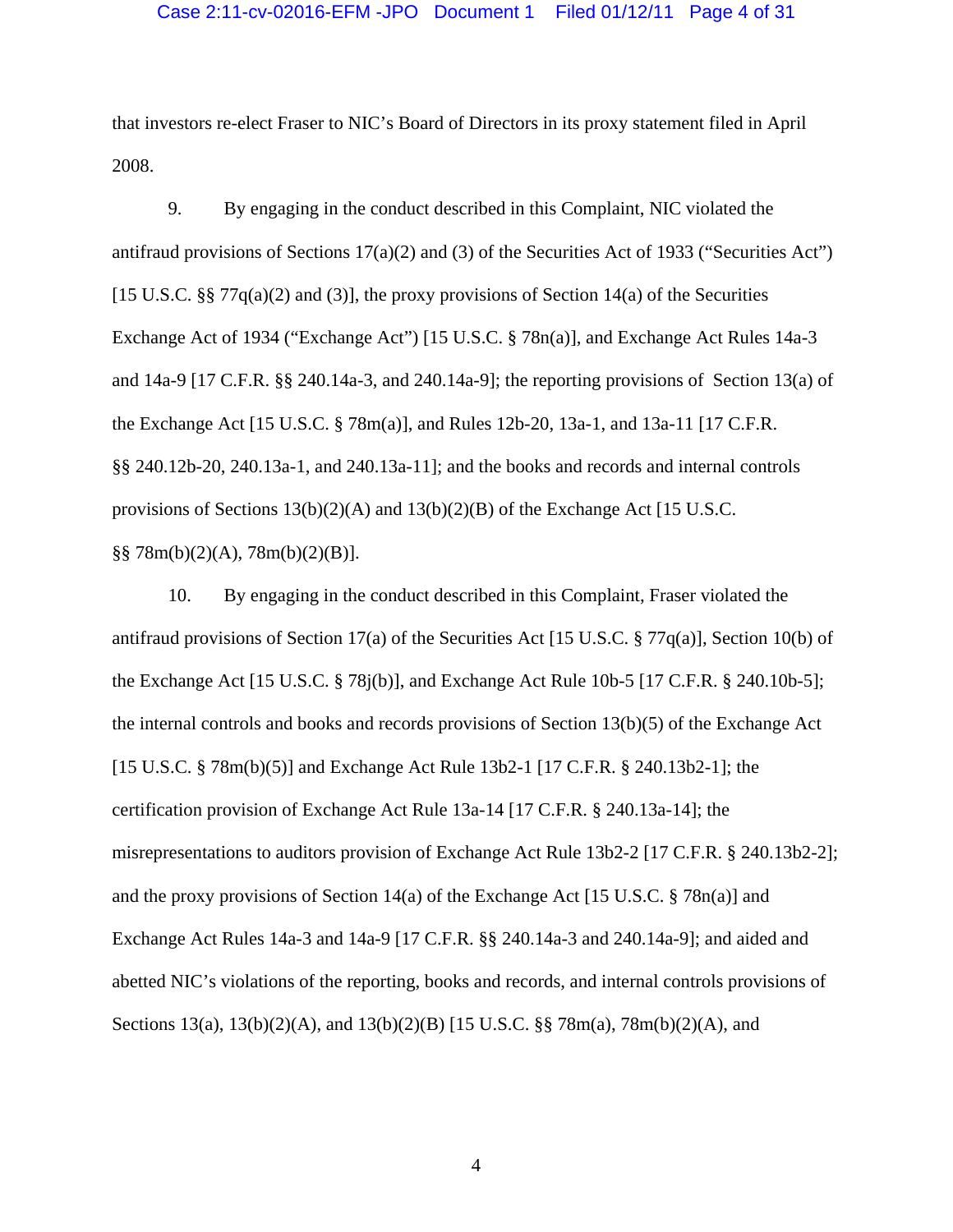## Case 2:11-cv-02016-EFM -JPO Document 1 Filed 01/12/11 Page 4 of 31

that investors re-elect Fraser to NIC's Board of Directors in its proxy statement filed in April 2008.

9. By engaging in the conduct described in this Complaint, NIC violated the antifraud provisions of Sections  $17(a)(2)$  and (3) of the Securities Act of 1933 ("Securities Act") [15 U.S.C. §§ 77 $q(a)(2)$  and (3)], the proxy provisions of Section 14(a) of the Securities Exchange Act of 1934 ("Exchange Act") [15 U.S.C. § 78n(a)], and Exchange Act Rules 14a-3 and 14a-9 [17 C.F.R. §§ 240.14a-3, and 240.14a-9]; the reporting provisions of Section 13(a) of the Exchange Act [15 U.S.C. § 78m(a)], and Rules 12b-20, 13a-1, and 13a-11 [17 C.F.R. §§ 240.12b-20, 240.13a-1, and 240.13a-11]; and the books and records and internal controls provisions of Sections  $13(b)(2)(A)$  and  $13(b)(2)(B)$  of the Exchange Act [15 U.S.C.]  $\S$ § 78m(b)(2)(A), 78m(b)(2)(B)].

10. By engaging in the conduct described in this Complaint, Fraser violated the antifraud provisions of Section 17(a) of the Securities Act [15 U.S.C. § 77q(a)], Section 10(b) of the Exchange Act [15 U.S.C. § 78j(b)], and Exchange Act Rule 10b-5 [17 C.F.R. § 240.10b-5]; the internal controls and books and records provisions of Section 13(b)(5) of the Exchange Act [15 U.S.C. § 78m(b)(5)] and Exchange Act Rule 13b2-1 [17 C.F.R. § 240.13b2-1]; the certification provision of Exchange Act Rule 13a-14 [17 C.F.R. § 240.13a-14]; the misrepresentations to auditors provision of Exchange Act Rule 13b2-2 [17 C.F.R. § 240.13b2-2]; and the proxy provisions of Section 14(a) of the Exchange Act [15 U.S.C.  $\S$  78n(a)] and Exchange Act Rules 14a-3 and 14a-9 [17 C.F.R. §§ 240.14a-3 and 240.14a-9]; and aided and abetted NIC's violations of the reporting, books and records, and internal controls provisions of Sections 13(a), 13(b)(2)(A), and 13(b)(2)(B) [15 U.S.C. §§ 78m(a), 78m(b)(2)(A), and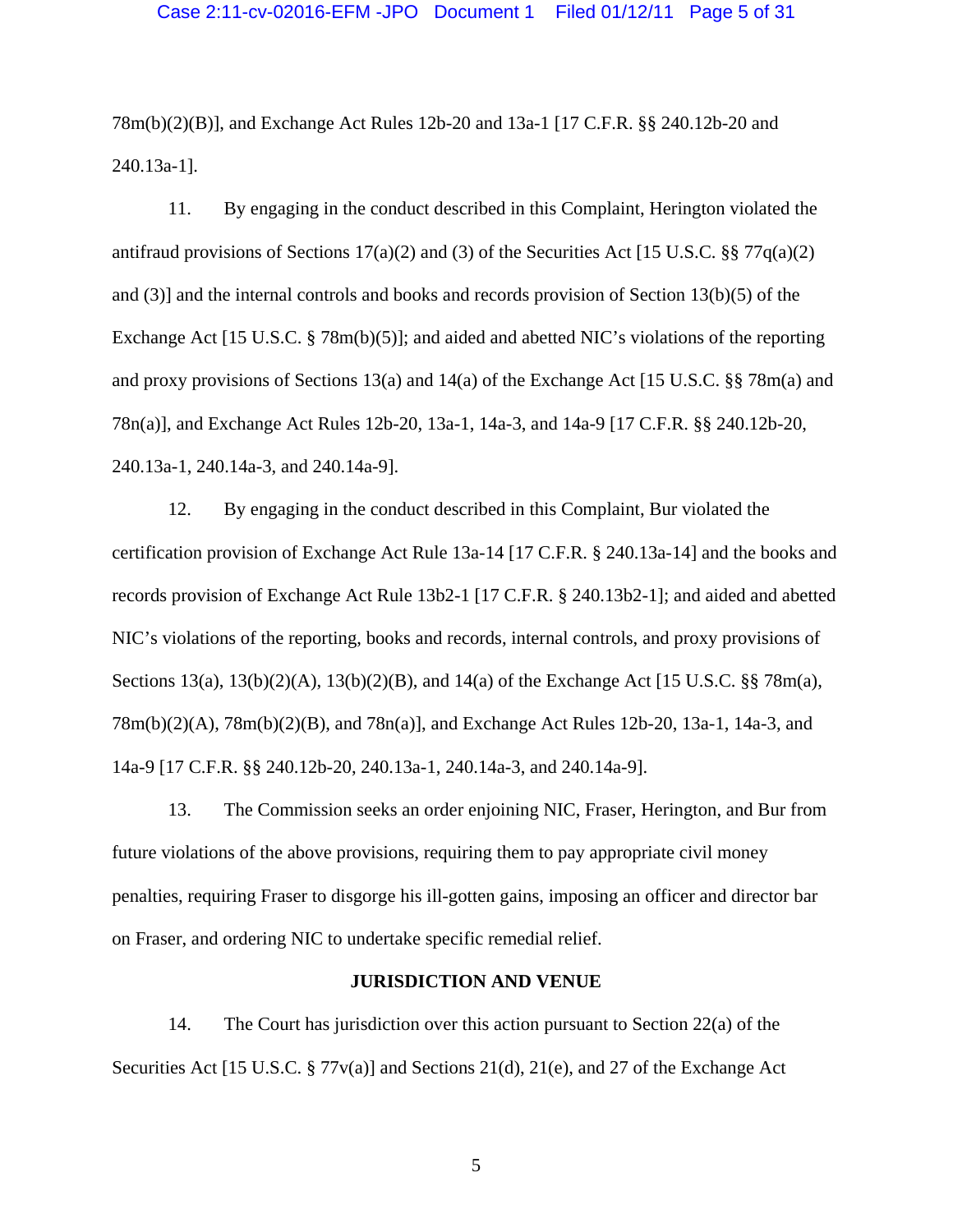## Case 2:11-cv-02016-EFM -JPO Document 1 Filed 01/12/11 Page 5 of 31

78m(b)(2)(B)], and Exchange Act Rules 12b-20 and 13a-1 [17 C.F.R. §§ 240.12b-20 and 240.13a-1].

11. By engaging in the conduct described in this Complaint, Herington violated the antifraud provisions of Sections 17(a)(2) and (3) of the Securities Act [15 U.S.C. §§ 77 $q(a)(2)$ and (3)] and the internal controls and books and records provision of Section 13(b)(5) of the Exchange Act [15 U.S.C. § 78m(b)(5)]; and aided and abetted NIC's violations of the reporting and proxy provisions of Sections 13(a) and 14(a) of the Exchange Act [15 U.S.C. §§ 78m(a) and 78n(a)], and Exchange Act Rules 12b-20, 13a-1, 14a-3, and 14a-9 [17 C.F.R. §§ 240.12b-20, 240.13a-1, 240.14a-3, and 240.14a-9].

12. By engaging in the conduct described in this Complaint, Bur violated the certification provision of Exchange Act Rule 13a-14 [17 C.F.R. § 240.13a-14] and the books and records provision of Exchange Act Rule 13b2-1 [17 C.F.R. § 240.13b2-1]; and aided and abetted NIC's violations of the reporting, books and records, internal controls, and proxy provisions of Sections 13(a), 13(b)(2)(A), 13(b)(2)(B), and 14(a) of the Exchange Act [15 U.S.C. §§ 78m(a), 78m(b)(2)(A), 78m(b)(2)(B), and 78n(a)], and Exchange Act Rules 12b-20, 13a-1, 14a-3, and 14a-9 [17 C.F.R. §§ 240.12b-20, 240.13a-1, 240.14a-3, and 240.14a-9].

13. The Commission seeks an order enjoining NIC, Fraser, Herington, and Bur from future violations of the above provisions, requiring them to pay appropriate civil money penalties, requiring Fraser to disgorge his ill-gotten gains, imposing an officer and director bar on Fraser, and ordering NIC to undertake specific remedial relief.

#### **JURISDICTION AND VENUE**

14. The Court has jurisdiction over this action pursuant to Section 22(a) of the Securities Act [15 U.S.C. § 77v(a)] and Sections 21(d), 21(e), and 27 of the Exchange Act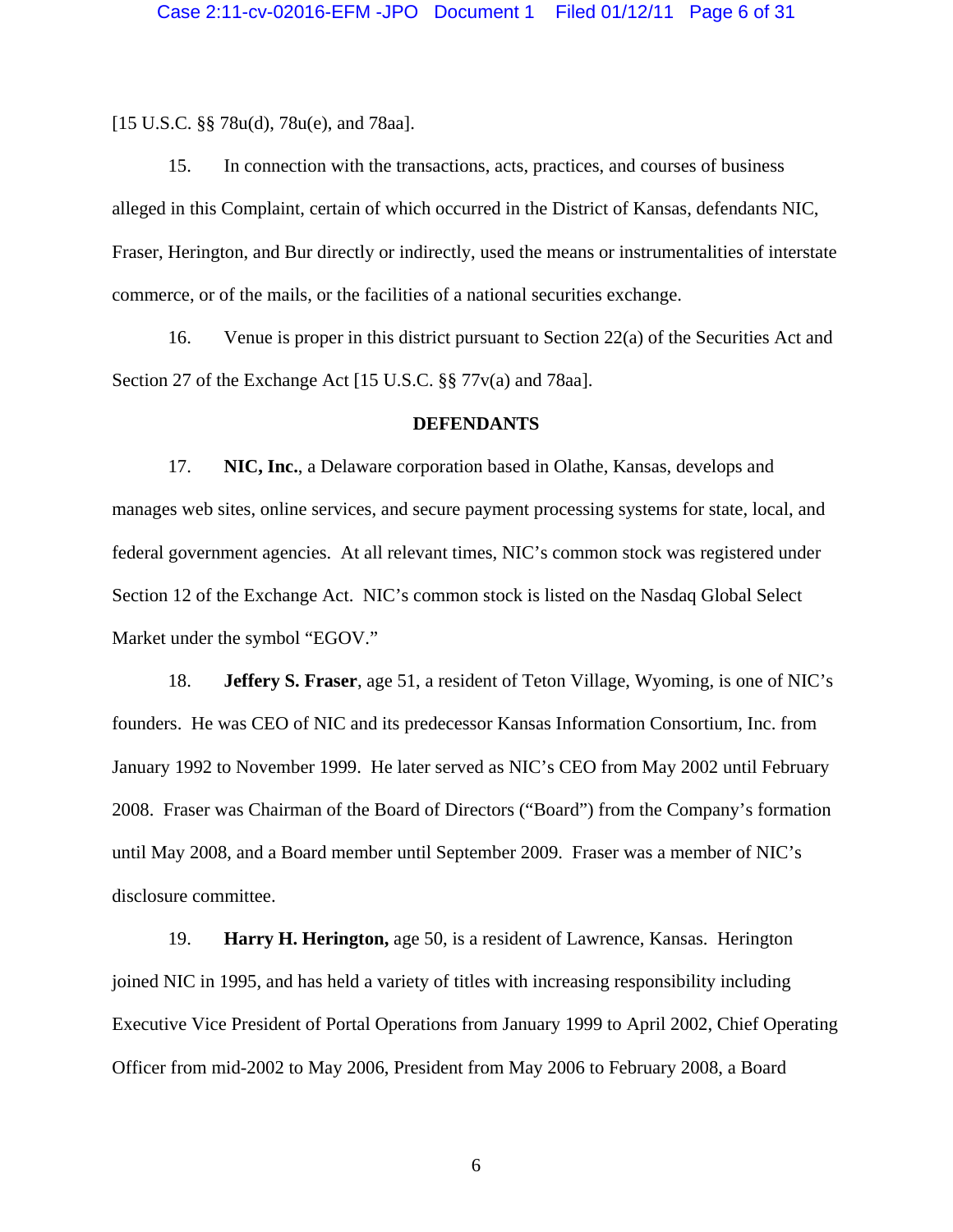[15 U.S.C. §§ 78u(d), 78u(e), and 78aa].

15. In connection with the transactions, acts, practices, and courses of business alleged in this Complaint, certain of which occurred in the District of Kansas, defendants NIC, Fraser, Herington, and Bur directly or indirectly, used the means or instrumentalities of interstate commerce, or of the mails, or the facilities of a national securities exchange.

16. Venue is proper in this district pursuant to Section 22(a) of the Securities Act and Section 27 of the Exchange Act [15 U.S.C. §§ 77v(a) and 78aa].

### **DEFENDANTS**

17. **NIC, Inc.**, a Delaware corporation based in Olathe, Kansas, develops and manages web sites, online services, and secure payment processing systems for state, local, and federal government agencies. At all relevant times, NIC's common stock was registered under Section 12 of the Exchange Act. NIC's common stock is listed on the Nasdaq Global Select Market under the symbol "EGOV."

18. **Jeffery S. Fraser**, age 51, a resident of Teton Village, Wyoming, is one of NIC's founders. He was CEO of NIC and its predecessor Kansas Information Consortium, Inc. from January 1992 to November 1999. He later served as NIC's CEO from May 2002 until February 2008. Fraser was Chairman of the Board of Directors ("Board") from the Company's formation until May 2008, and a Board member until September 2009. Fraser was a member of NIC's disclosure committee.

19. **Harry H. Herington,** age 50, is a resident of Lawrence, Kansas. Herington joined NIC in 1995, and has held a variety of titles with increasing responsibility including Executive Vice President of Portal Operations from January 1999 to April 2002, Chief Operating Officer from mid-2002 to May 2006, President from May 2006 to February 2008, a Board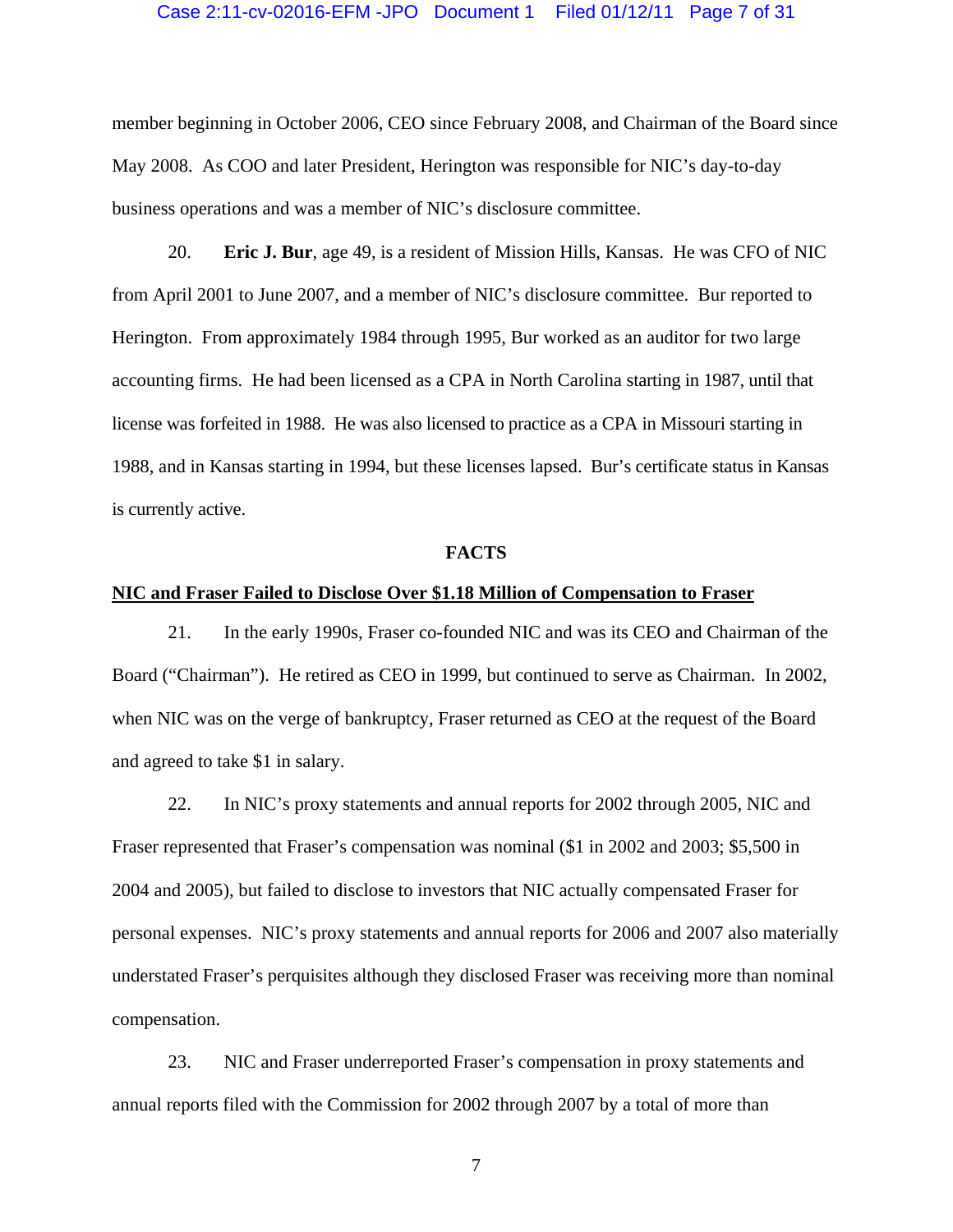#### Case 2:11-cv-02016-EFM -JPO Document 1 Filed 01/12/11 Page 7 of 31

member beginning in October 2006, CEO since February 2008, and Chairman of the Board since May 2008. As COO and later President, Herington was responsible for NIC's day-to-day business operations and was a member of NIC's disclosure committee.

20. **Eric J. Bur**, age 49, is a resident of Mission Hills, Kansas. He was CFO of NIC from April 2001 to June 2007, and a member of NIC's disclosure committee. Bur reported to Herington. From approximately 1984 through 1995, Bur worked as an auditor for two large accounting firms. He had been licensed as a CPA in North Carolina starting in 1987, until that license was forfeited in 1988. He was also licensed to practice as a CPA in Missouri starting in 1988, and in Kansas starting in 1994, but these licenses lapsed. Bur's certificate status in Kansas is currently active.

#### **FACTS**

#### **NIC and Fraser Failed to Disclose Over \$1.18 Million of Compensation to Fraser**

21. In the early 1990s, Fraser co-founded NIC and was its CEO and Chairman of the Board ("Chairman"). He retired as CEO in 1999, but continued to serve as Chairman. In 2002, when NIC was on the verge of bankruptcy, Fraser returned as CEO at the request of the Board and agreed to take \$1 in salary.

22. In NIC's proxy statements and annual reports for 2002 through 2005, NIC and Fraser represented that Fraser's compensation was nominal (\$1 in 2002 and 2003; \$5,500 in 2004 and 2005), but failed to disclose to investors that NIC actually compensated Fraser for personal expenses. NIC's proxy statements and annual reports for 2006 and 2007 also materially understated Fraser's perquisites although they disclosed Fraser was receiving more than nominal compensation.

23. NIC and Fraser underreported Fraser's compensation in proxy statements and annual reports filed with the Commission for 2002 through 2007 by a total of more than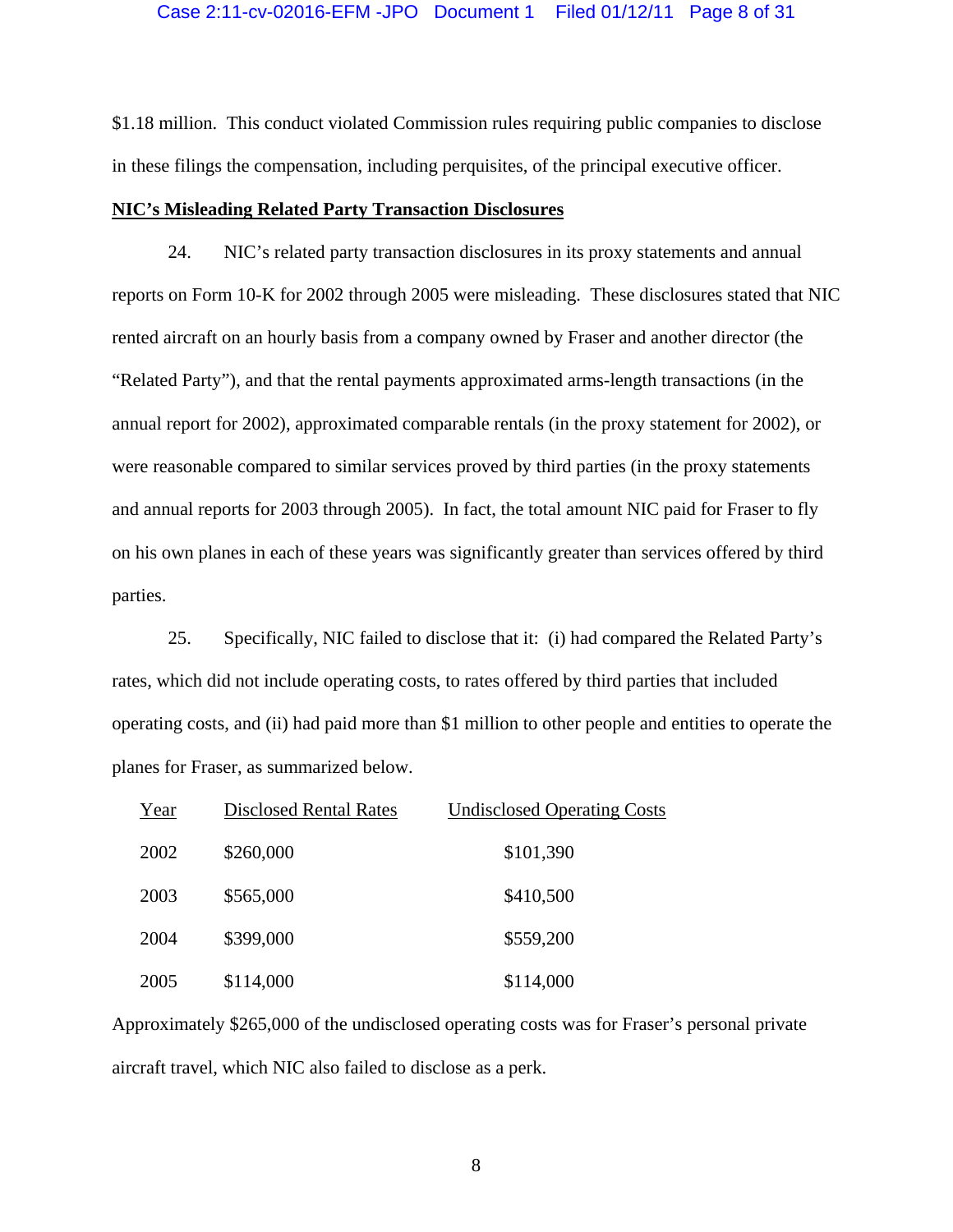### Case 2:11-cv-02016-EFM -JPO Document 1 Filed 01/12/11 Page 8 of 31

\$1.18 million. This conduct violated Commission rules requiring public companies to disclose in these filings the compensation, including perquisites, of the principal executive officer.

### **NIC's Misleading Related Party Transaction Disclosures**

24. NIC's related party transaction disclosures in its proxy statements and annual reports on Form 10-K for 2002 through 2005 were misleading. These disclosures stated that NIC rented aircraft on an hourly basis from a company owned by Fraser and another director (the "Related Party"), and that the rental payments approximated arms-length transactions (in the annual report for 2002), approximated comparable rentals (in the proxy statement for 2002), or were reasonable compared to similar services proved by third parties (in the proxy statements and annual reports for 2003 through 2005). In fact, the total amount NIC paid for Fraser to fly on his own planes in each of these years was significantly greater than services offered by third parties.

25. Specifically, NIC failed to disclose that it: (i) had compared the Related Party's rates, which did not include operating costs, to rates offered by third parties that included operating costs, and (ii) had paid more than \$1 million to other people and entities to operate the planes for Fraser, as summarized below.

| Year | <b>Disclosed Rental Rates</b> | <b>Undisclosed Operating Costs</b> |
|------|-------------------------------|------------------------------------|
| 2002 | \$260,000                     | \$101,390                          |
| 2003 | \$565,000                     | \$410,500                          |
| 2004 | \$399,000                     | \$559,200                          |
| 2005 | \$114,000                     | \$114,000                          |

Approximately \$265,000 of the undisclosed operating costs was for Fraser's personal private aircraft travel, which NIC also failed to disclose as a perk.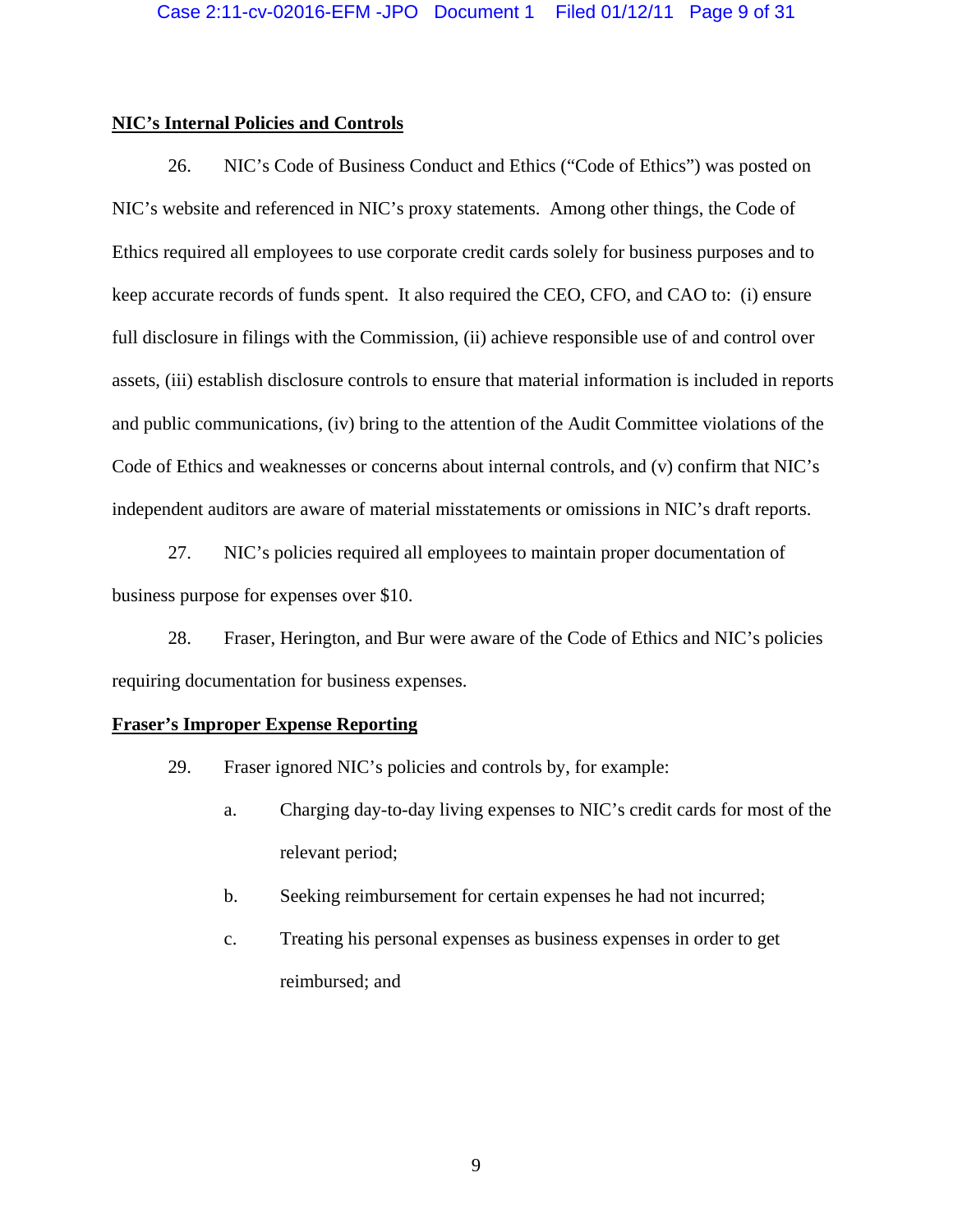## **NIC's Internal Policies and Controls**

26. NIC's Code of Business Conduct and Ethics ("Code of Ethics") was posted on NIC's website and referenced in NIC's proxy statements. Among other things, the Code of Ethics required all employees to use corporate credit cards solely for business purposes and to keep accurate records of funds spent. It also required the CEO, CFO, and CAO to: (i) ensure full disclosure in filings with the Commission, (ii) achieve responsible use of and control over assets, (iii) establish disclosure controls to ensure that material information is included in reports and public communications, (iv) bring to the attention of the Audit Committee violations of the Code of Ethics and weaknesses or concerns about internal controls, and (v) confirm that NIC's independent auditors are aware of material misstatements or omissions in NIC's draft reports.

27. NIC's policies required all employees to maintain proper documentation of business purpose for expenses over \$10.

28. Fraser, Herington, and Bur were aware of the Code of Ethics and NIC's policies requiring documentation for business expenses.

## **Fraser's Improper Expense Reporting**

- 29. Fraser ignored NIC's policies and controls by, for example:
	- a. Charging day-to-day living expenses to NIC's credit cards for most of the relevant period;
	- b. Seeking reimbursement for certain expenses he had not incurred;
	- c. Treating his personal expenses as business expenses in order to get reimbursed; and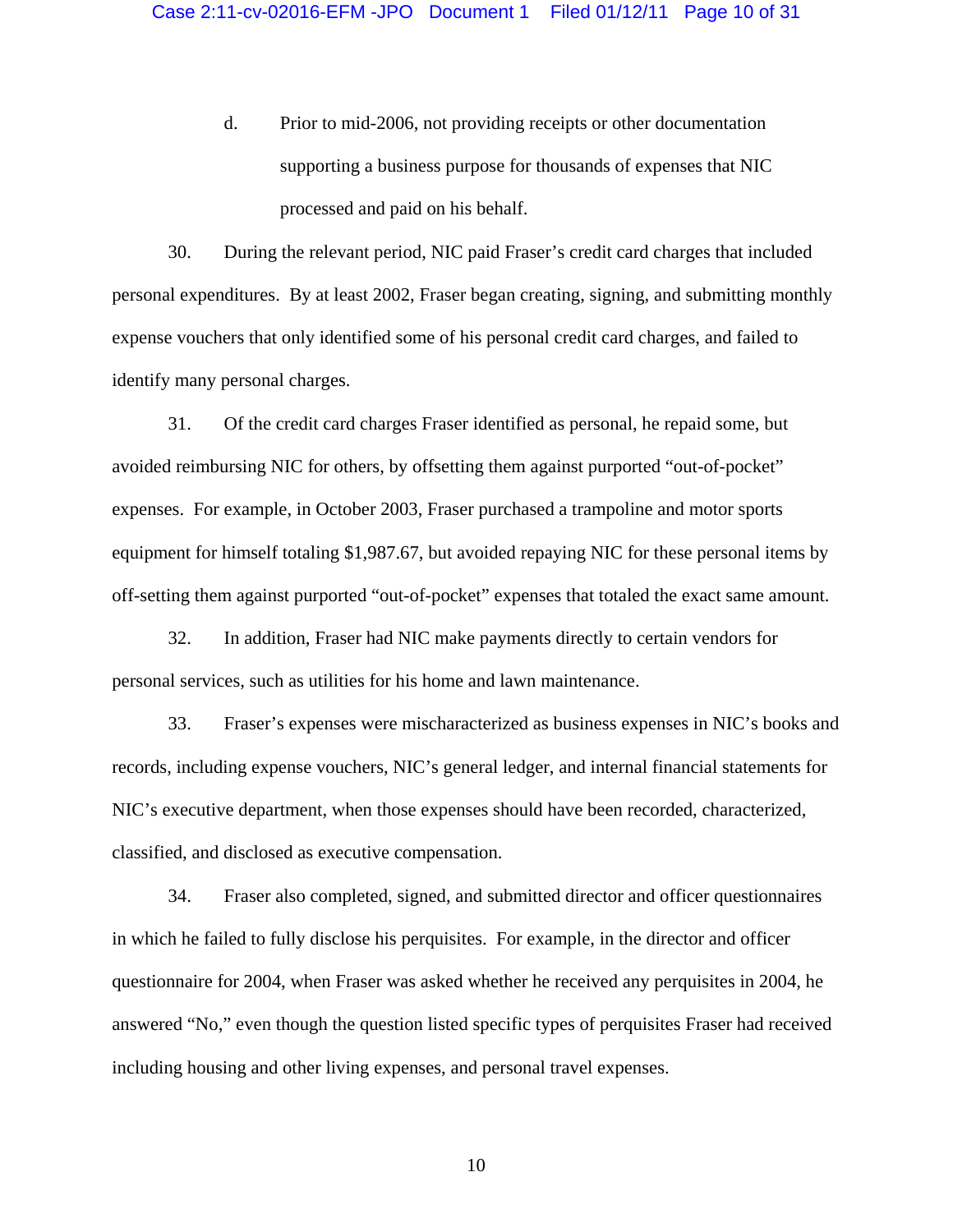d. Prior to mid-2006, not providing receipts or other documentation supporting a business purpose for thousands of expenses that NIC processed and paid on his behalf.

30. During the relevant period, NIC paid Fraser's credit card charges that included personal expenditures. By at least 2002, Fraser began creating, signing, and submitting monthly expense vouchers that only identified some of his personal credit card charges, and failed to identify many personal charges.

31. Of the credit card charges Fraser identified as personal, he repaid some, but avoided reimbursing NIC for others, by offsetting them against purported "out-of-pocket" expenses. For example, in October 2003, Fraser purchased a trampoline and motor sports equipment for himself totaling \$1,987.67, but avoided repaying NIC for these personal items by off-setting them against purported "out-of-pocket" expenses that totaled the exact same amount.

32. In addition, Fraser had NIC make payments directly to certain vendors for personal services, such as utilities for his home and lawn maintenance.

33. Fraser's expenses were mischaracterized as business expenses in NIC's books and records, including expense vouchers, NIC's general ledger, and internal financial statements for NIC's executive department, when those expenses should have been recorded, characterized, classified, and disclosed as executive compensation.

34. Fraser also completed, signed, and submitted director and officer questionnaires in which he failed to fully disclose his perquisites. For example, in the director and officer questionnaire for 2004, when Fraser was asked whether he received any perquisites in 2004, he answered "No," even though the question listed specific types of perquisites Fraser had received including housing and other living expenses, and personal travel expenses.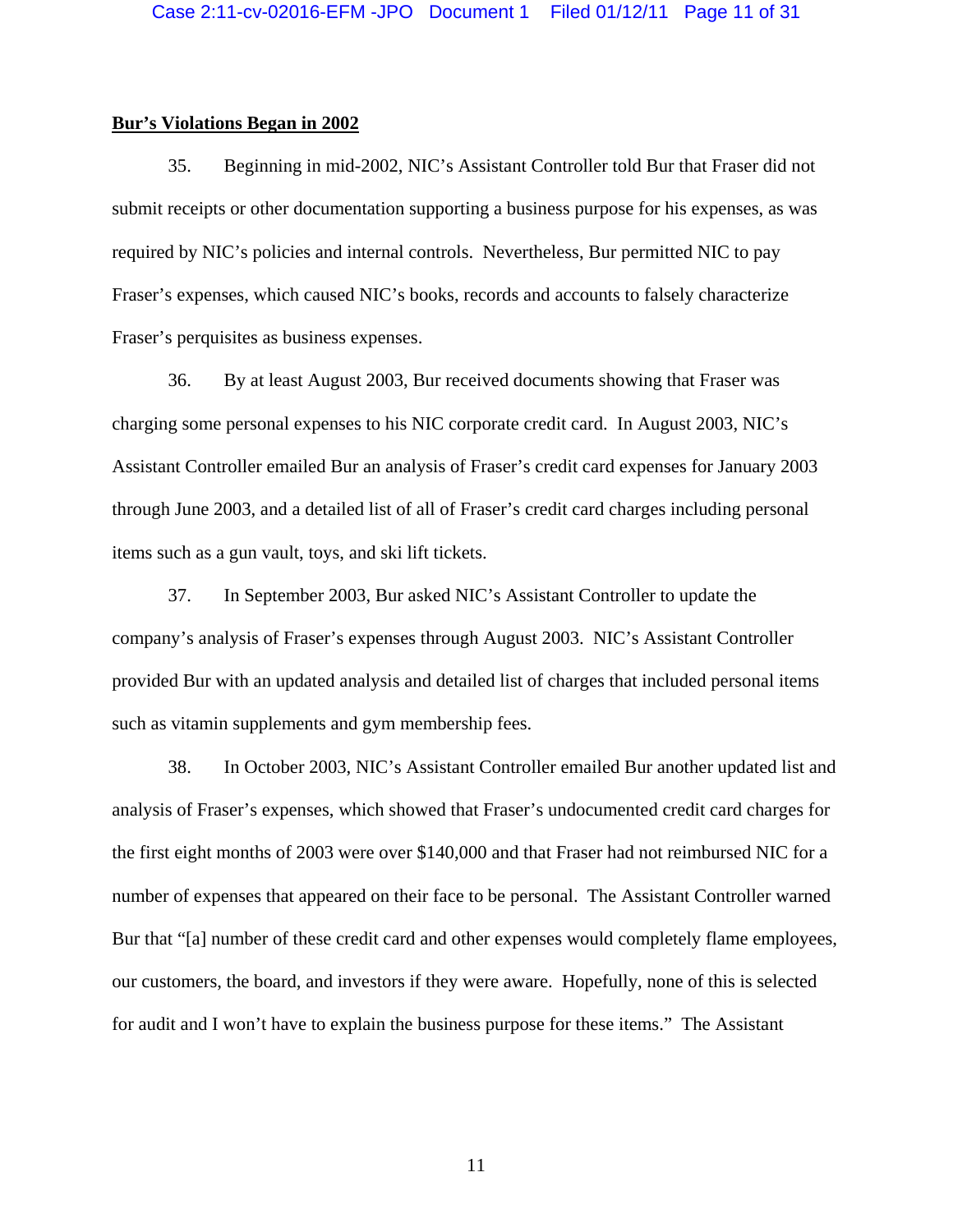#### **Bur's Violations Began in 2002**

35. Beginning in mid-2002, NIC's Assistant Controller told Bur that Fraser did not submit receipts or other documentation supporting a business purpose for his expenses, as was required by NIC's policies and internal controls. Nevertheless, Bur permitted NIC to pay Fraser's expenses, which caused NIC's books, records and accounts to falsely characterize Fraser's perquisites as business expenses.

36. By at least August 2003, Bur received documents showing that Fraser was charging some personal expenses to his NIC corporate credit card. In August 2003, NIC's Assistant Controller emailed Bur an analysis of Fraser's credit card expenses for January 2003 through June 2003, and a detailed list of all of Fraser's credit card charges including personal items such as a gun vault, toys, and ski lift tickets.

37. In September 2003, Bur asked NIC's Assistant Controller to update the company's analysis of Fraser's expenses through August 2003. NIC's Assistant Controller provided Bur with an updated analysis and detailed list of charges that included personal items such as vitamin supplements and gym membership fees.

38. In October 2003, NIC's Assistant Controller emailed Bur another updated list and analysis of Fraser's expenses, which showed that Fraser's undocumented credit card charges for the first eight months of 2003 were over \$140,000 and that Fraser had not reimbursed NIC for a number of expenses that appeared on their face to be personal. The Assistant Controller warned Bur that "[a] number of these credit card and other expenses would completely flame employees, our customers, the board, and investors if they were aware. Hopefully, none of this is selected for audit and I won't have to explain the business purpose for these items." The Assistant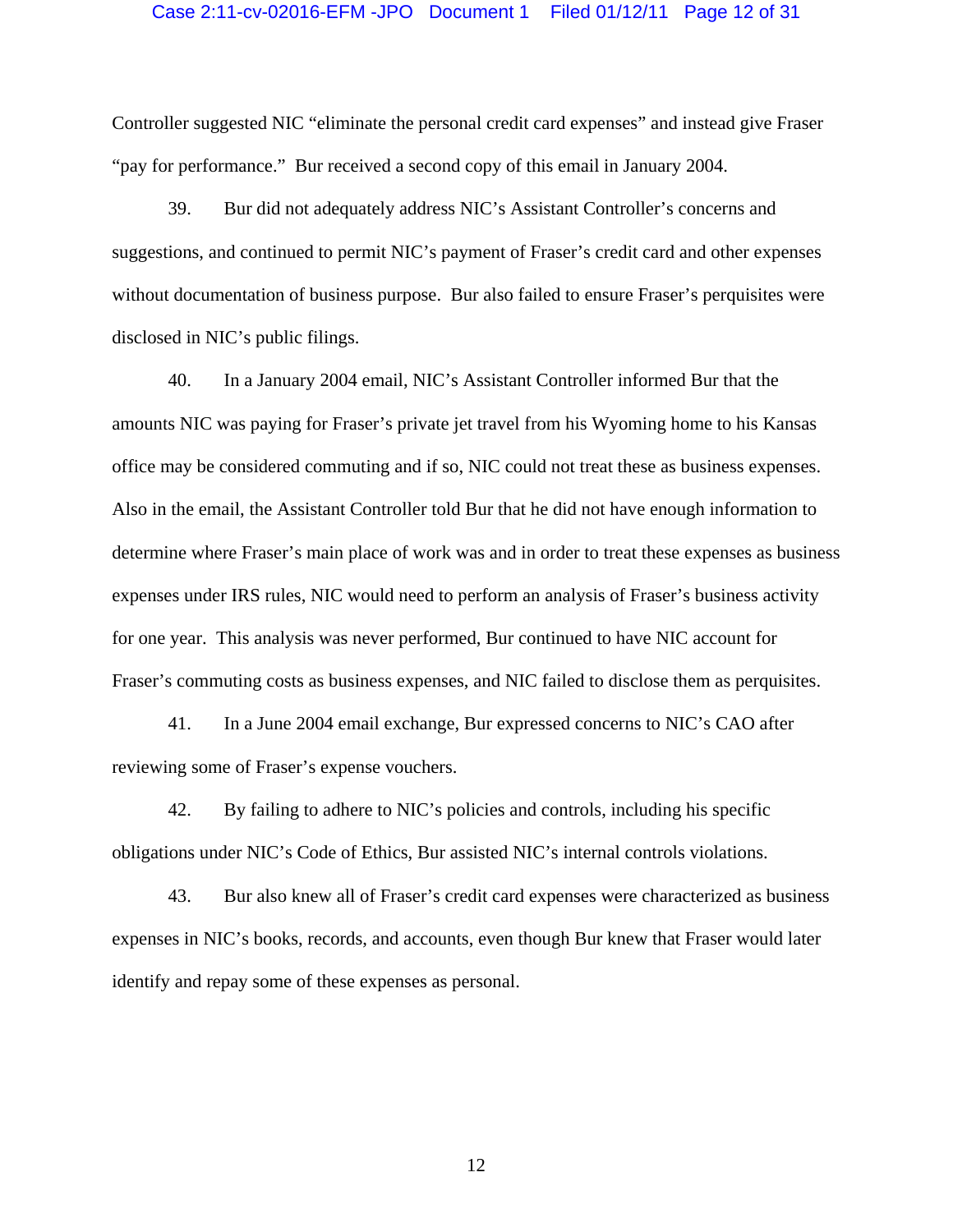### Case 2:11-cv-02016-EFM -JPO Document 1 Filed 01/12/11 Page 12 of 31

Controller suggested NIC "eliminate the personal credit card expenses" and instead give Fraser "pay for performance." Bur received a second copy of this email in January 2004.

39. Bur did not adequately address NIC's Assistant Controller's concerns and suggestions, and continued to permit NIC's payment of Fraser's credit card and other expenses without documentation of business purpose. Bur also failed to ensure Fraser's perquisites were disclosed in NIC's public filings.

40. In a January 2004 email, NIC's Assistant Controller informed Bur that the amounts NIC was paying for Fraser's private jet travel from his Wyoming home to his Kansas office may be considered commuting and if so, NIC could not treat these as business expenses. Also in the email, the Assistant Controller told Bur that he did not have enough information to determine where Fraser's main place of work was and in order to treat these expenses as business expenses under IRS rules, NIC would need to perform an analysis of Fraser's business activity for one year. This analysis was never performed, Bur continued to have NIC account for Fraser's commuting costs as business expenses, and NIC failed to disclose them as perquisites.

41. In a June 2004 email exchange, Bur expressed concerns to NIC's CAO after reviewing some of Fraser's expense vouchers.

42. By failing to adhere to NIC's policies and controls, including his specific obligations under NIC's Code of Ethics, Bur assisted NIC's internal controls violations.

43. Bur also knew all of Fraser's credit card expenses were characterized as business expenses in NIC's books, records, and accounts, even though Bur knew that Fraser would later identify and repay some of these expenses as personal.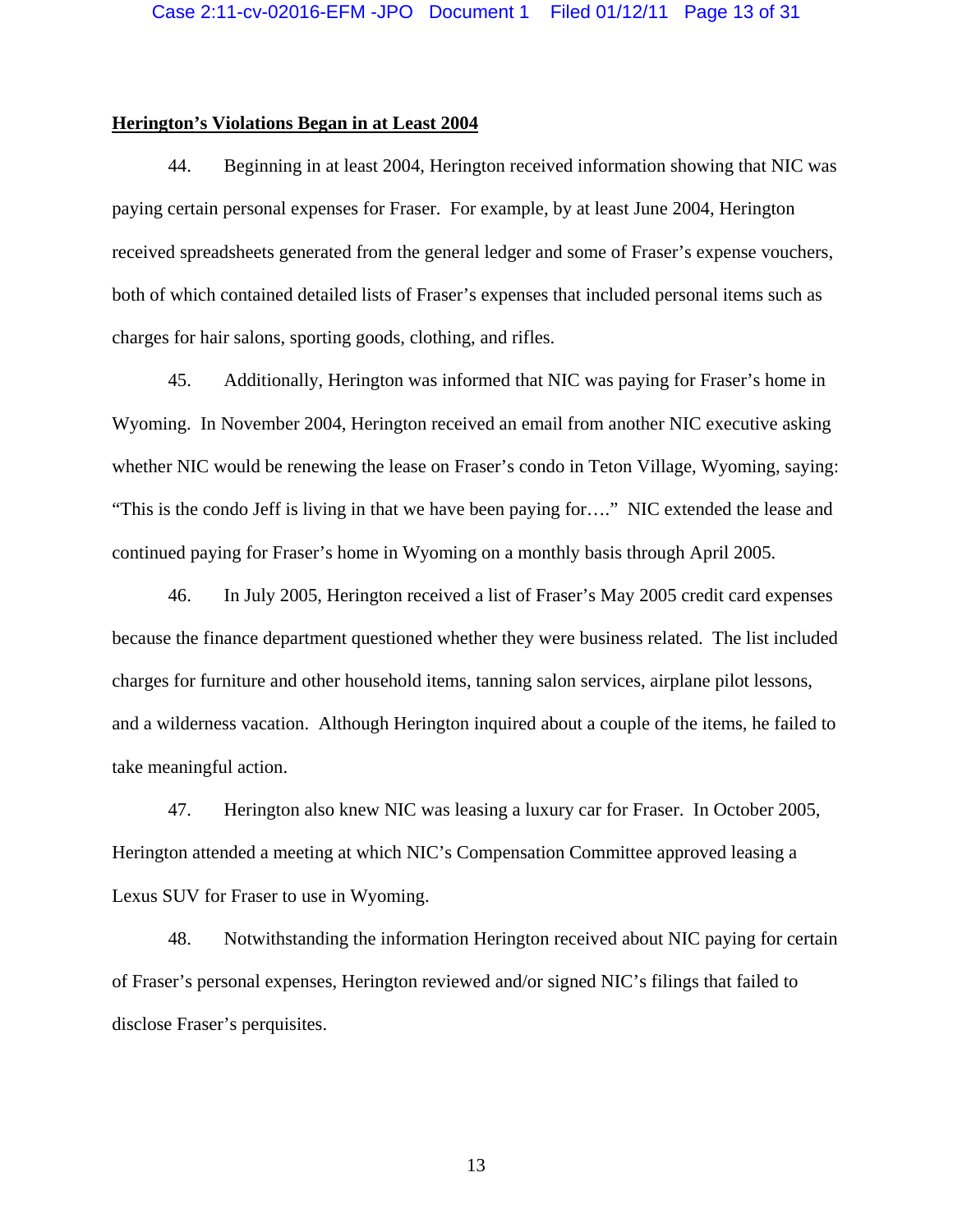## **Herington's Violations Began in at Least 2004**

44. Beginning in at least 2004, Herington received information showing that NIC was paying certain personal expenses for Fraser. For example, by at least June 2004, Herington received spreadsheets generated from the general ledger and some of Fraser's expense vouchers, both of which contained detailed lists of Fraser's expenses that included personal items such as charges for hair salons, sporting goods, clothing, and rifles.

45. Additionally, Herington was informed that NIC was paying for Fraser's home in Wyoming. In November 2004, Herington received an email from another NIC executive asking whether NIC would be renewing the lease on Fraser's condo in Teton Village, Wyoming, saying: "This is the condo Jeff is living in that we have been paying for…." NIC extended the lease and continued paying for Fraser's home in Wyoming on a monthly basis through April 2005.

46. In July 2005, Herington received a list of Fraser's May 2005 credit card expenses because the finance department questioned whether they were business related. The list included charges for furniture and other household items, tanning salon services, airplane pilot lessons, and a wilderness vacation. Although Herington inquired about a couple of the items, he failed to take meaningful action.

47. Herington also knew NIC was leasing a luxury car for Fraser. In October 2005, Herington attended a meeting at which NIC's Compensation Committee approved leasing a Lexus SUV for Fraser to use in Wyoming.

48. Notwithstanding the information Herington received about NIC paying for certain of Fraser's personal expenses, Herington reviewed and/or signed NIC's filings that failed to disclose Fraser's perquisites.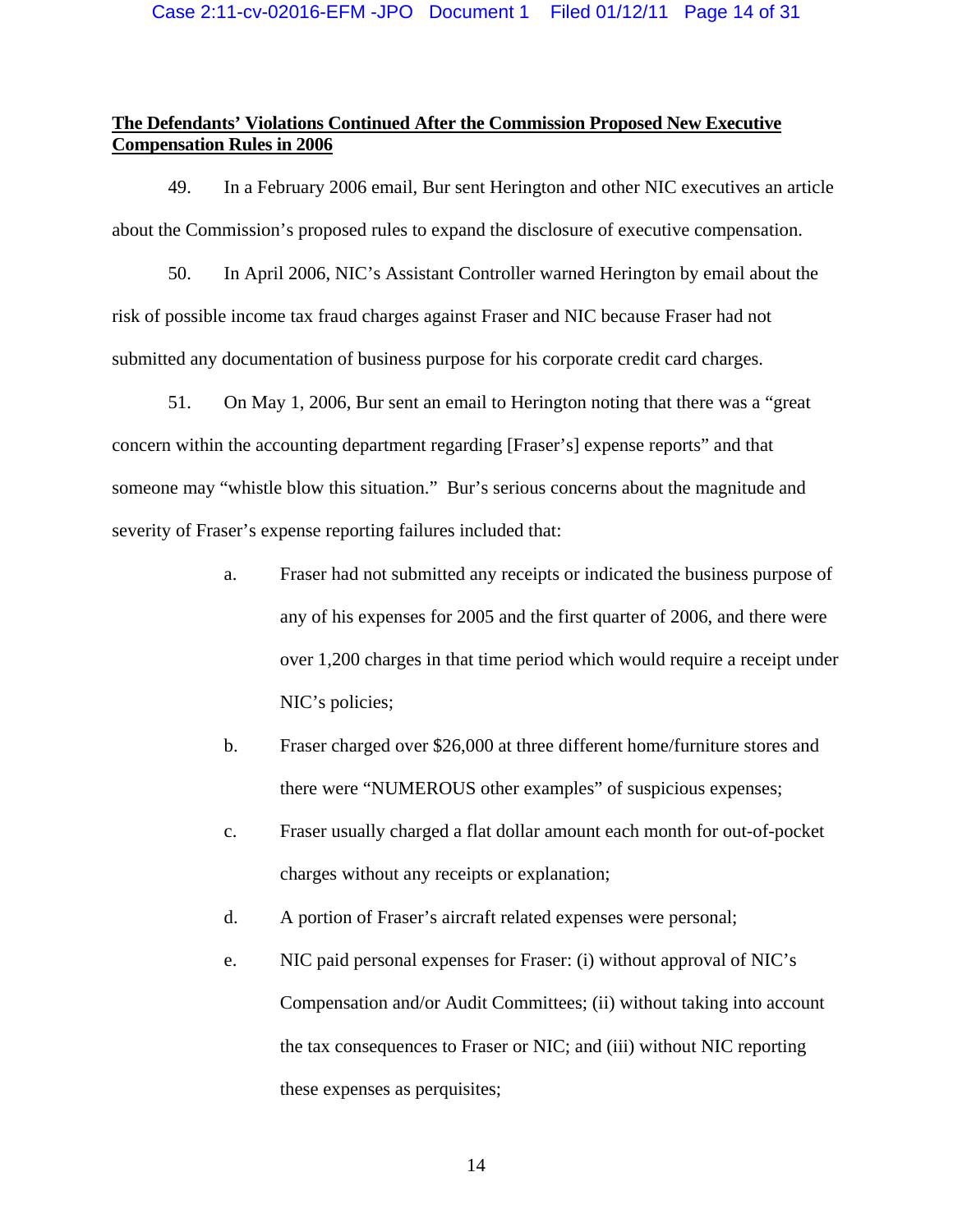# **The Defendants' Violations Continued After the Commission Proposed New Executive Compensation Rules in 2006**

49. In a February 2006 email, Bur sent Herington and other NIC executives an article about the Commission's proposed rules to expand the disclosure of executive compensation.

50. In April 2006, NIC's Assistant Controller warned Herington by email about the risk of possible income tax fraud charges against Fraser and NIC because Fraser had not submitted any documentation of business purpose for his corporate credit card charges.

51. On May 1, 2006, Bur sent an email to Herington noting that there was a "great concern within the accounting department regarding [Fraser's] expense reports" and that someone may "whistle blow this situation." Bur's serious concerns about the magnitude and severity of Fraser's expense reporting failures included that:

- a. Fraser had not submitted any receipts or indicated the business purpose of any of his expenses for 2005 and the first quarter of 2006, and there were over 1,200 charges in that time period which would require a receipt under NIC's policies;
- b. Fraser charged over \$26,000 at three different home/furniture stores and there were "NUMEROUS other examples" of suspicious expenses;
- c. Fraser usually charged a flat dollar amount each month for out-of-pocket charges without any receipts or explanation;
- d. A portion of Fraser's aircraft related expenses were personal;
- e. NIC paid personal expenses for Fraser: (i) without approval of NIC's Compensation and/or Audit Committees; (ii) without taking into account the tax consequences to Fraser or NIC; and (iii) without NIC reporting these expenses as perquisites;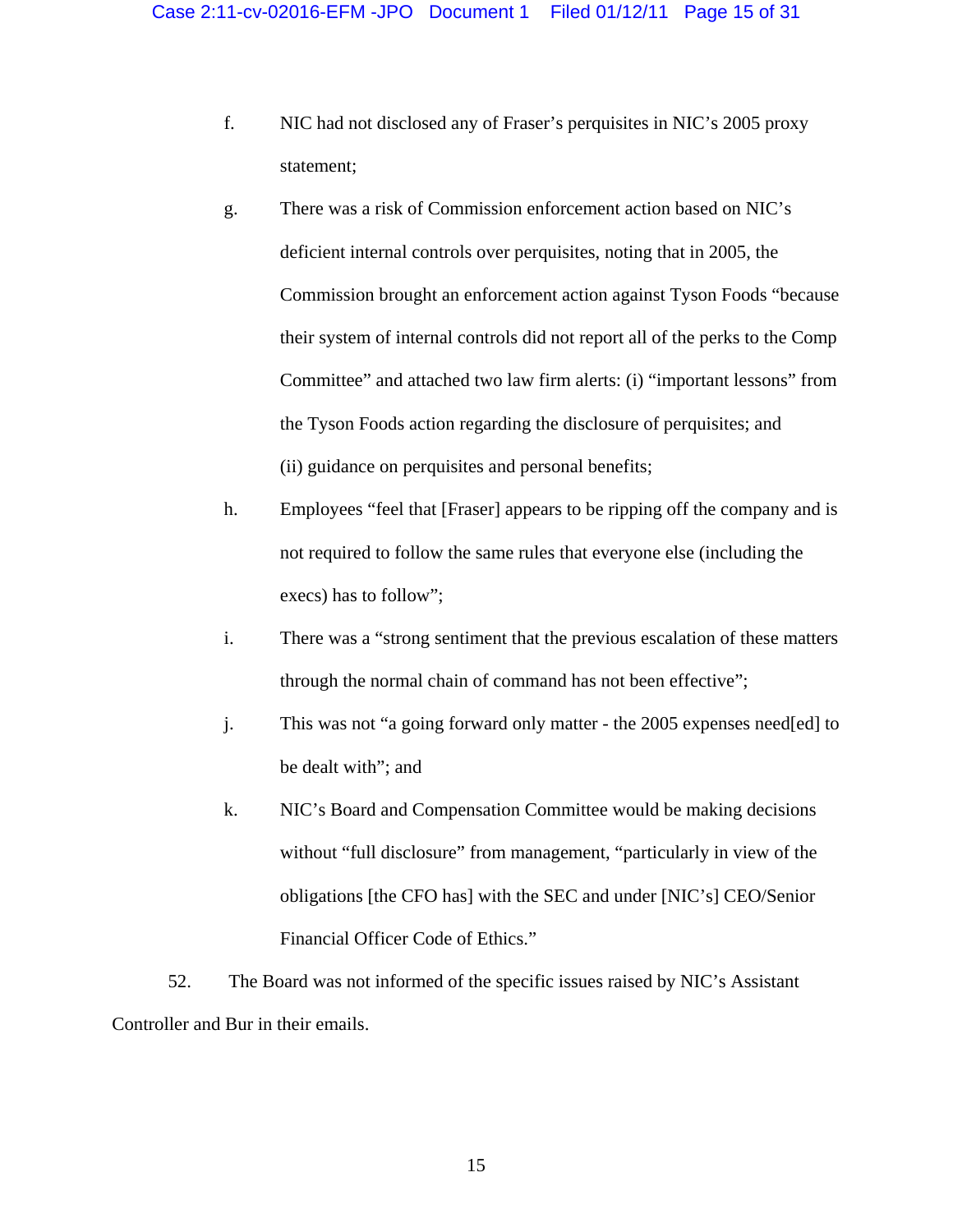- f. NIC had not disclosed any of Fraser's perquisites in NIC's 2005 proxy statement;
- g. There was a risk of Commission enforcement action based on NIC's deficient internal controls over perquisites, noting that in 2005, the Commission brought an enforcement action against Tyson Foods "because their system of internal controls did not report all of the perks to the Comp Committee" and attached two law firm alerts: (i) "important lessons" from the Tyson Foods action regarding the disclosure of perquisites; and (ii) guidance on perquisites and personal benefits;
- h. Employees "feel that [Fraser] appears to be ripping off the company and is not required to follow the same rules that everyone else (including the execs) has to follow";
- i. There was a "strong sentiment that the previous escalation of these matters through the normal chain of command has not been effective";
- j. This was not "a going forward only matter the 2005 expenses need[ed] to be dealt with"; and
- k. NIC's Board and Compensation Committee would be making decisions without "full disclosure" from management, "particularly in view of the obligations [the CFO has] with the SEC and under [NIC's] CEO/Senior Financial Officer Code of Ethics."

52. The Board was not informed of the specific issues raised by NIC's Assistant Controller and Bur in their emails.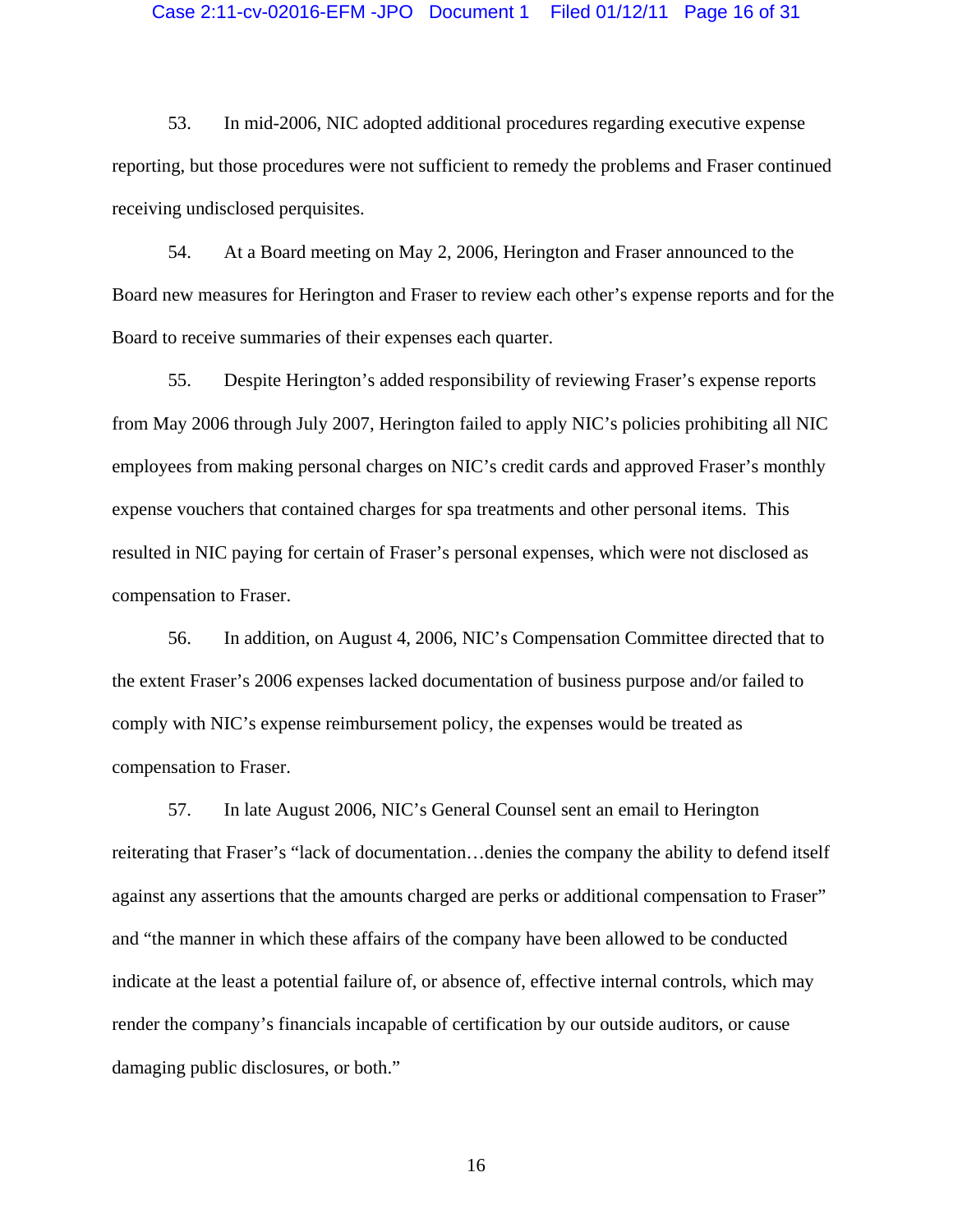### Case 2:11-cv-02016-EFM -JPO Document 1 Filed 01/12/11 Page 16 of 31

53. In mid-2006, NIC adopted additional procedures regarding executive expense reporting, but those procedures were not sufficient to remedy the problems and Fraser continued receiving undisclosed perquisites.

54. At a Board meeting on May 2, 2006, Herington and Fraser announced to the Board new measures for Herington and Fraser to review each other's expense reports and for the Board to receive summaries of their expenses each quarter.

55. Despite Herington's added responsibility of reviewing Fraser's expense reports from May 2006 through July 2007, Herington failed to apply NIC's policies prohibiting all NIC employees from making personal charges on NIC's credit cards and approved Fraser's monthly expense vouchers that contained charges for spa treatments and other personal items. This resulted in NIC paying for certain of Fraser's personal expenses, which were not disclosed as compensation to Fraser.

56. In addition, on August 4, 2006, NIC's Compensation Committee directed that to the extent Fraser's 2006 expenses lacked documentation of business purpose and/or failed to comply with NIC's expense reimbursement policy, the expenses would be treated as compensation to Fraser.

57. In late August 2006, NIC's General Counsel sent an email to Herington reiterating that Fraser's "lack of documentation…denies the company the ability to defend itself against any assertions that the amounts charged are perks or additional compensation to Fraser" and "the manner in which these affairs of the company have been allowed to be conducted indicate at the least a potential failure of, or absence of, effective internal controls, which may render the company's financials incapable of certification by our outside auditors, or cause damaging public disclosures, or both."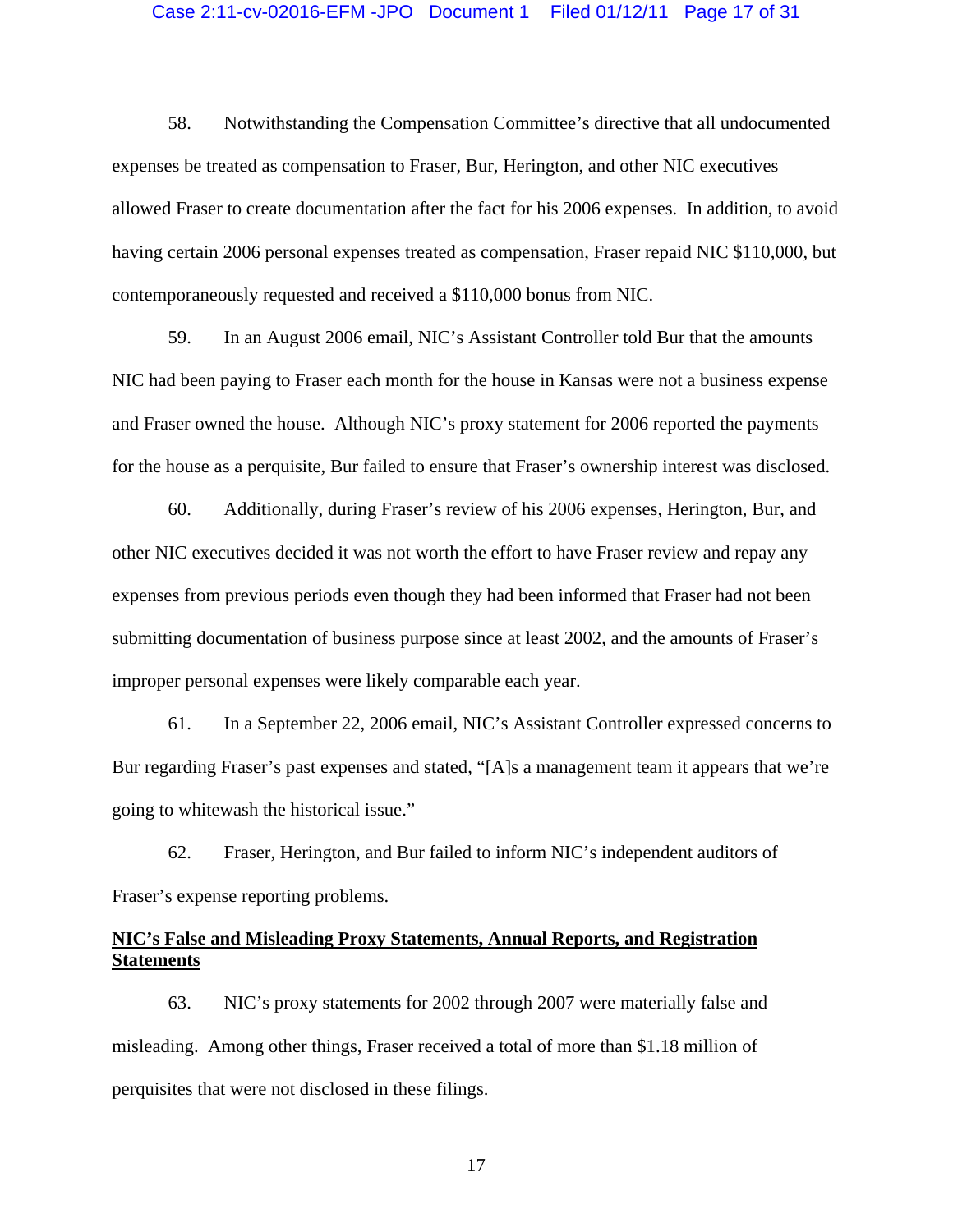### Case 2:11-cv-02016-EFM -JPO Document 1 Filed 01/12/11 Page 17 of 31

58. Notwithstanding the Compensation Committee's directive that all undocumented expenses be treated as compensation to Fraser, Bur, Herington, and other NIC executives allowed Fraser to create documentation after the fact for his 2006 expenses. In addition, to avoid having certain 2006 personal expenses treated as compensation, Fraser repaid NIC \$110,000, but contemporaneously requested and received a \$110,000 bonus from NIC.

59. In an August 2006 email, NIC's Assistant Controller told Bur that the amounts NIC had been paying to Fraser each month for the house in Kansas were not a business expense and Fraser owned the house. Although NIC's proxy statement for 2006 reported the payments for the house as a perquisite, Bur failed to ensure that Fraser's ownership interest was disclosed.

60. Additionally, during Fraser's review of his 2006 expenses, Herington, Bur, and other NIC executives decided it was not worth the effort to have Fraser review and repay any expenses from previous periods even though they had been informed that Fraser had not been submitting documentation of business purpose since at least 2002, and the amounts of Fraser's improper personal expenses were likely comparable each year.

61. In a September 22, 2006 email, NIC's Assistant Controller expressed concerns to Bur regarding Fraser's past expenses and stated, "[A]s a management team it appears that we're going to whitewash the historical issue."

62. Fraser, Herington, and Bur failed to inform NIC's independent auditors of Fraser's expense reporting problems.

## **NIC's False and Misleading Proxy Statements, Annual Reports, and Registration Statements**

63. NIC's proxy statements for 2002 through 2007 were materially false and misleading. Among other things, Fraser received a total of more than \$1.18 million of perquisites that were not disclosed in these filings.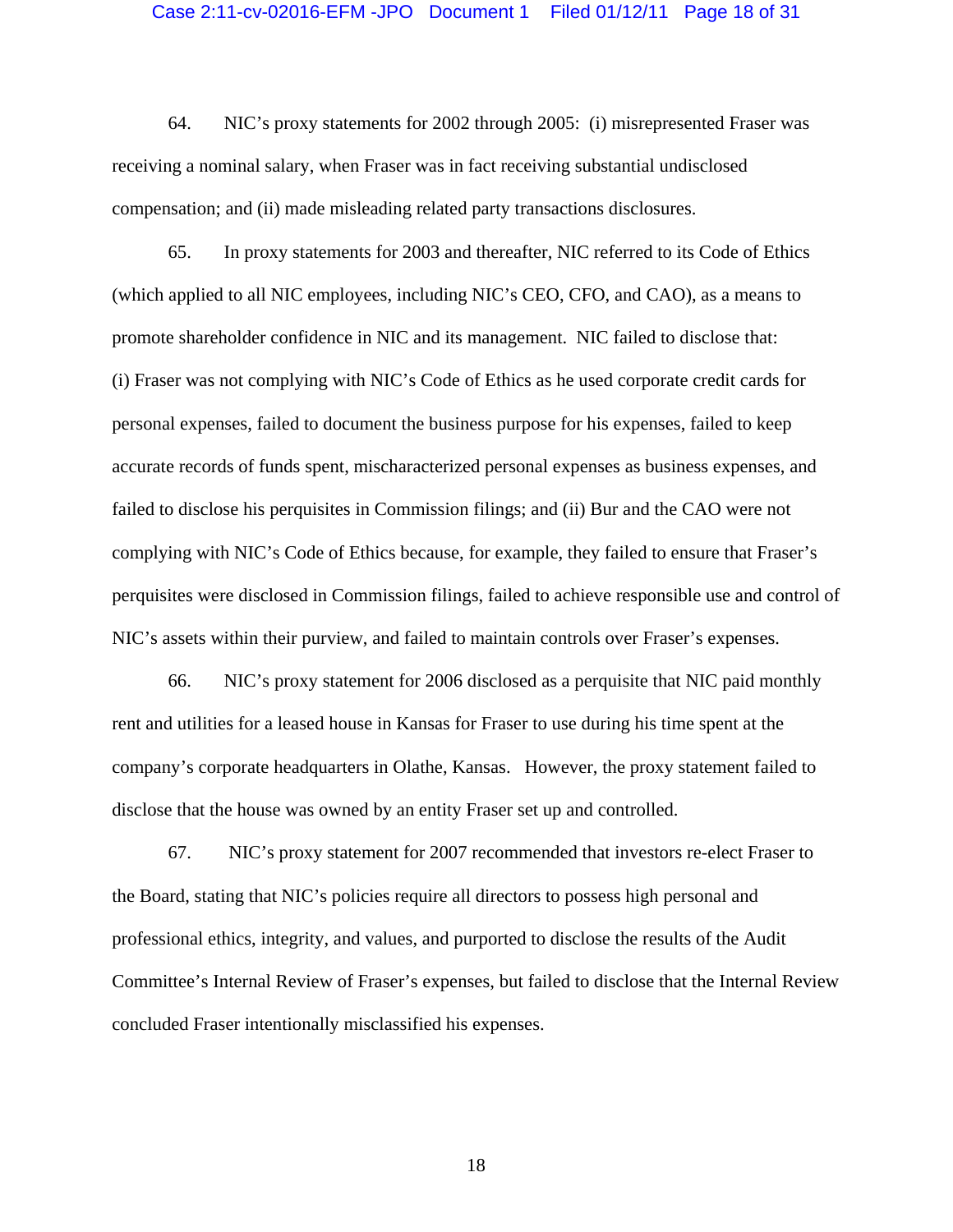#### Case 2:11-cv-02016-EFM -JPO Document 1 Filed 01/12/11 Page 18 of 31

64. NIC's proxy statements for 2002 through 2005: (i) misrepresented Fraser was receiving a nominal salary, when Fraser was in fact receiving substantial undisclosed compensation; and (ii) made misleading related party transactions disclosures.

65. In proxy statements for 2003 and thereafter, NIC referred to its Code of Ethics (which applied to all NIC employees, including NIC's CEO, CFO, and CAO), as a means to promote shareholder confidence in NIC and its management. NIC failed to disclose that: (i) Fraser was not complying with NIC's Code of Ethics as he used corporate credit cards for personal expenses, failed to document the business purpose for his expenses, failed to keep accurate records of funds spent, mischaracterized personal expenses as business expenses, and failed to disclose his perquisites in Commission filings; and (ii) Bur and the CAO were not complying with NIC's Code of Ethics because, for example, they failed to ensure that Fraser's perquisites were disclosed in Commission filings, failed to achieve responsible use and control of NIC's assets within their purview, and failed to maintain controls over Fraser's expenses.

66. NIC's proxy statement for 2006 disclosed as a perquisite that NIC paid monthly rent and utilities for a leased house in Kansas for Fraser to use during his time spent at the company's corporate headquarters in Olathe, Kansas. However, the proxy statement failed to disclose that the house was owned by an entity Fraser set up and controlled.

67. NIC's proxy statement for 2007 recommended that investors re-elect Fraser to the Board, stating that NIC's policies require all directors to possess high personal and professional ethics, integrity, and values, and purported to disclose the results of the Audit Committee's Internal Review of Fraser's expenses, but failed to disclose that the Internal Review concluded Fraser intentionally misclassified his expenses.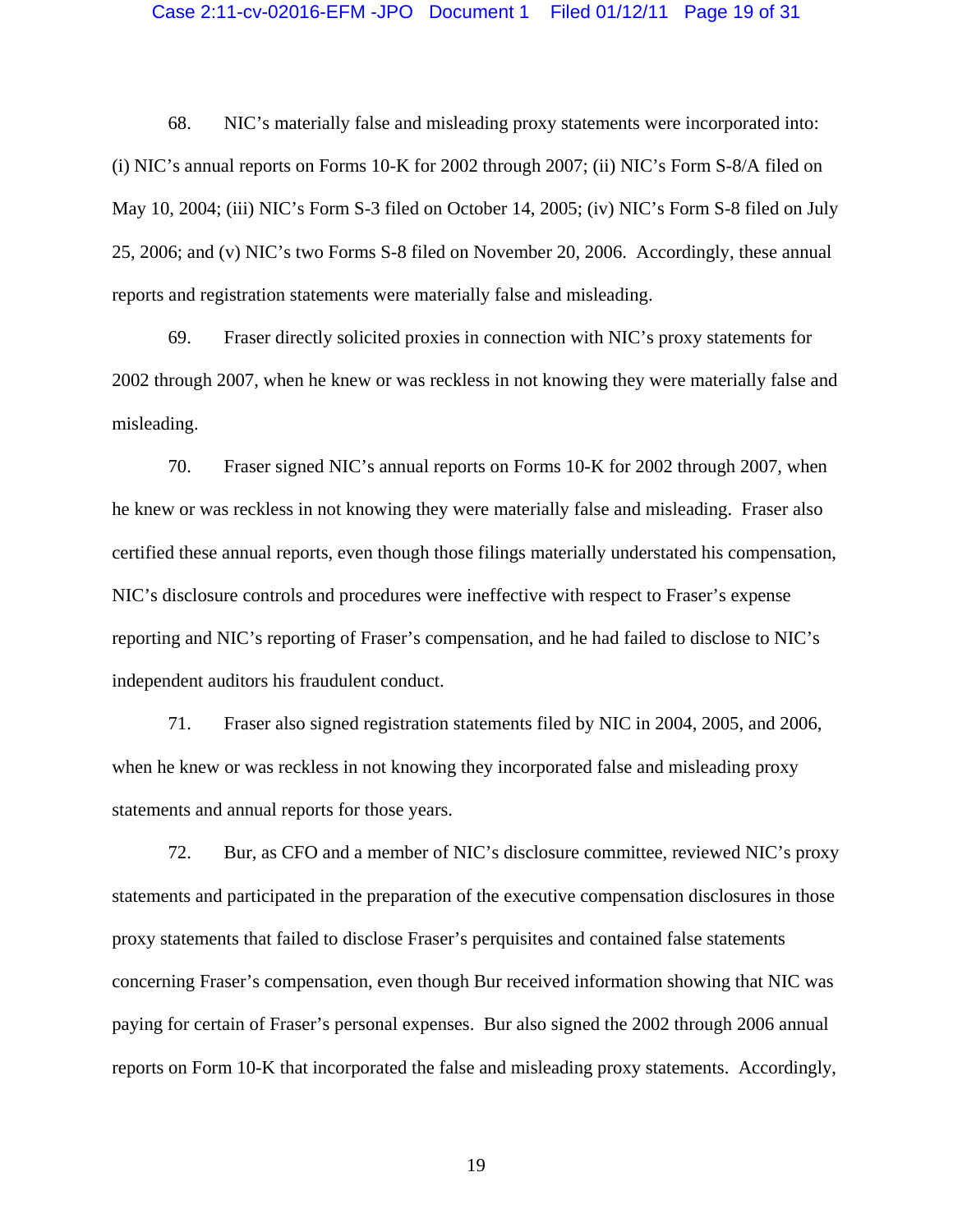#### Case 2:11-cv-02016-EFM -JPO Document 1 Filed 01/12/11 Page 19 of 31

68. NIC's materially false and misleading proxy statements were incorporated into: (i) NIC's annual reports on Forms 10-K for 2002 through 2007; (ii) NIC's Form S-8/A filed on May 10, 2004; (iii) NIC's Form S-3 filed on October 14, 2005; (iv) NIC's Form S-8 filed on July 25, 2006; and (v) NIC's two Forms S-8 filed on November 20, 2006. Accordingly, these annual reports and registration statements were materially false and misleading.

69. Fraser directly solicited proxies in connection with NIC's proxy statements for 2002 through 2007, when he knew or was reckless in not knowing they were materially false and misleading.

70. Fraser signed NIC's annual reports on Forms 10-K for 2002 through 2007, when he knew or was reckless in not knowing they were materially false and misleading. Fraser also certified these annual reports, even though those filings materially understated his compensation, NIC's disclosure controls and procedures were ineffective with respect to Fraser's expense reporting and NIC's reporting of Fraser's compensation, and he had failed to disclose to NIC's independent auditors his fraudulent conduct.

71. Fraser also signed registration statements filed by NIC in 2004, 2005, and 2006, when he knew or was reckless in not knowing they incorporated false and misleading proxy statements and annual reports for those years.

72. Bur, as CFO and a member of NIC's disclosure committee, reviewed NIC's proxy statements and participated in the preparation of the executive compensation disclosures in those proxy statements that failed to disclose Fraser's perquisites and contained false statements concerning Fraser's compensation, even though Bur received information showing that NIC was paying for certain of Fraser's personal expenses. Bur also signed the 2002 through 2006 annual reports on Form 10-K that incorporated the false and misleading proxy statements. Accordingly,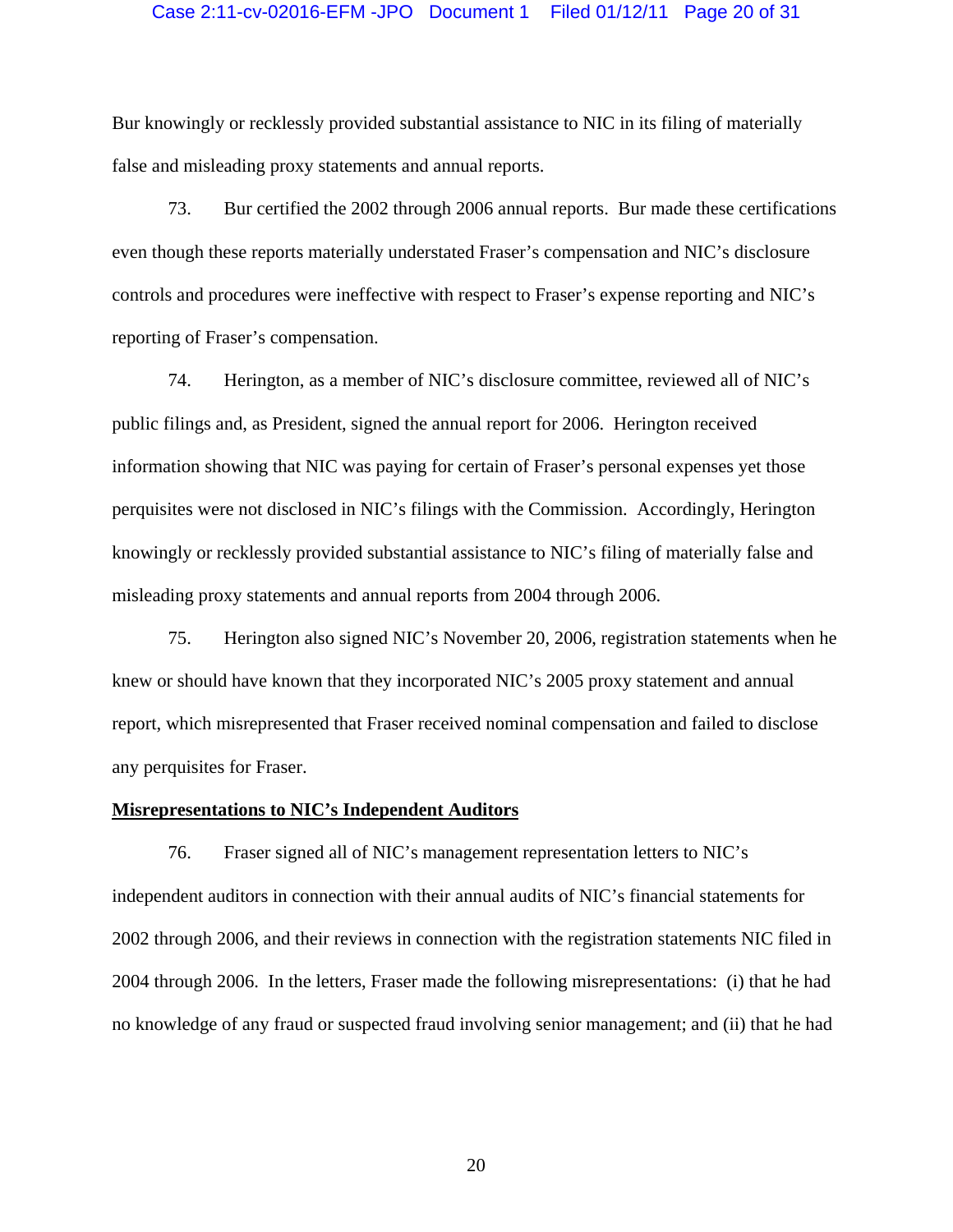## Case 2:11-cv-02016-EFM -JPO Document 1 Filed 01/12/11 Page 20 of 31

Bur knowingly or recklessly provided substantial assistance to NIC in its filing of materially false and misleading proxy statements and annual reports.

73. Bur certified the 2002 through 2006 annual reports. Bur made these certifications even though these reports materially understated Fraser's compensation and NIC's disclosure controls and procedures were ineffective with respect to Fraser's expense reporting and NIC's reporting of Fraser's compensation.

74. Herington, as a member of NIC's disclosure committee, reviewed all of NIC's public filings and, as President, signed the annual report for 2006. Herington received information showing that NIC was paying for certain of Fraser's personal expenses yet those perquisites were not disclosed in NIC's filings with the Commission. Accordingly, Herington knowingly or recklessly provided substantial assistance to NIC's filing of materially false and misleading proxy statements and annual reports from 2004 through 2006.

75. Herington also signed NIC's November 20, 2006, registration statements when he knew or should have known that they incorporated NIC's 2005 proxy statement and annual report, which misrepresented that Fraser received nominal compensation and failed to disclose any perquisites for Fraser.

#### **Misrepresentations to NIC's Independent Auditors**

76. Fraser signed all of NIC's management representation letters to NIC's independent auditors in connection with their annual audits of NIC's financial statements for 2002 through 2006, and their reviews in connection with the registration statements NIC filed in 2004 through 2006. In the letters, Fraser made the following misrepresentations: (i) that he had no knowledge of any fraud or suspected fraud involving senior management; and (ii) that he had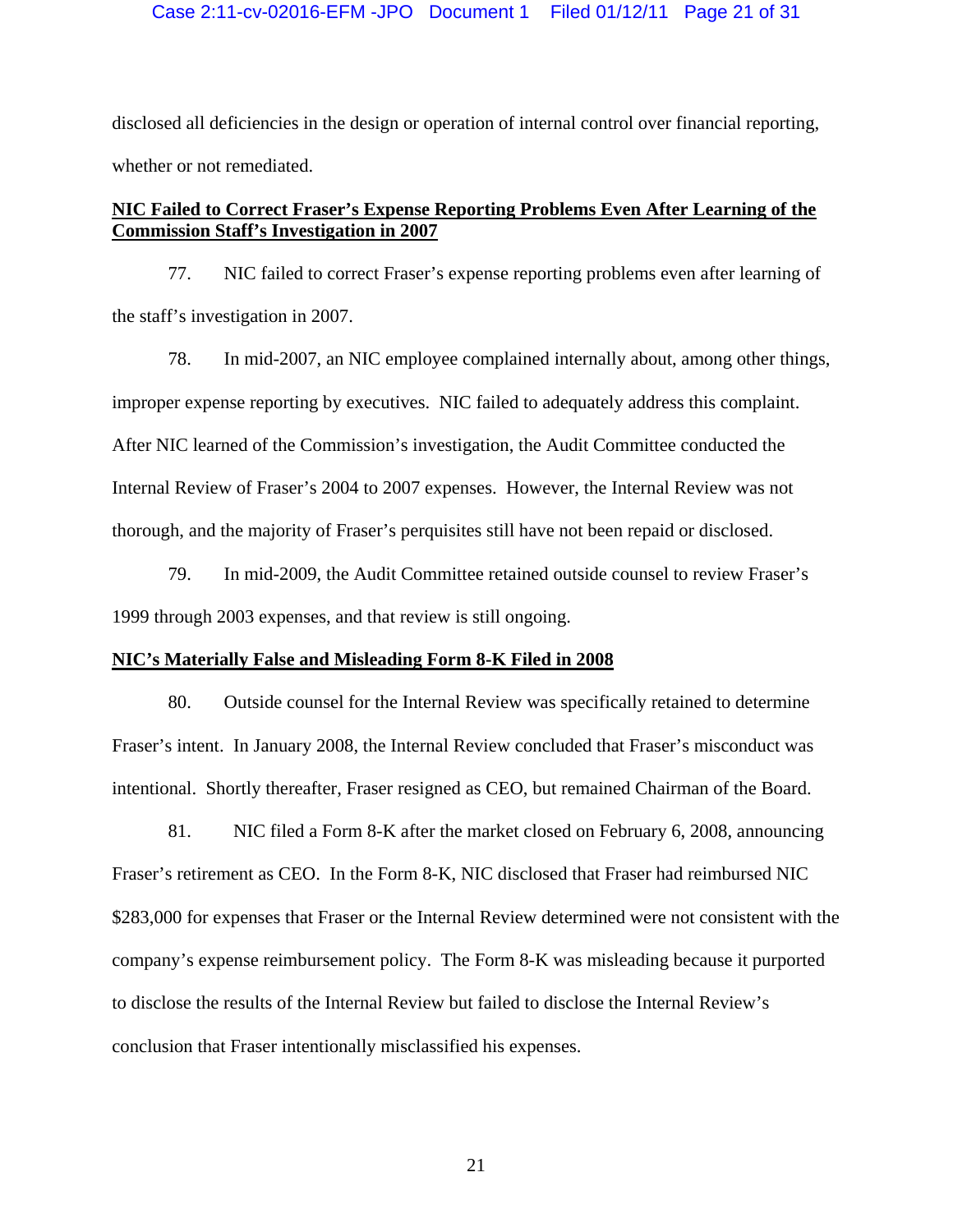disclosed all deficiencies in the design or operation of internal control over financial reporting, whether or not remediated.

# **NIC Failed to Correct Fraser's Expense Reporting Problems Even After Learning of the Commission Staff's Investigation in 2007**

77. NIC failed to correct Fraser's expense reporting problems even after learning of the staff's investigation in 2007.

78. In mid-2007, an NIC employee complained internally about, among other things, improper expense reporting by executives. NIC failed to adequately address this complaint. After NIC learned of the Commission's investigation, the Audit Committee conducted the Internal Review of Fraser's 2004 to 2007 expenses. However, the Internal Review was not thorough, and the majority of Fraser's perquisites still have not been repaid or disclosed.

79. In mid-2009, the Audit Committee retained outside counsel to review Fraser's 1999 through 2003 expenses, and that review is still ongoing.

## **NIC's Materially False and Misleading Form 8-K Filed in 2008**

80. Outside counsel for the Internal Review was specifically retained to determine Fraser's intent. In January 2008, the Internal Review concluded that Fraser's misconduct was intentional. Shortly thereafter, Fraser resigned as CEO, but remained Chairman of the Board.

81. NIC filed a Form 8-K after the market closed on February 6, 2008, announcing Fraser's retirement as CEO. In the Form 8-K, NIC disclosed that Fraser had reimbursed NIC \$283,000 for expenses that Fraser or the Internal Review determined were not consistent with the company's expense reimbursement policy. The Form 8-K was misleading because it purported to disclose the results of the Internal Review but failed to disclose the Internal Review's conclusion that Fraser intentionally misclassified his expenses.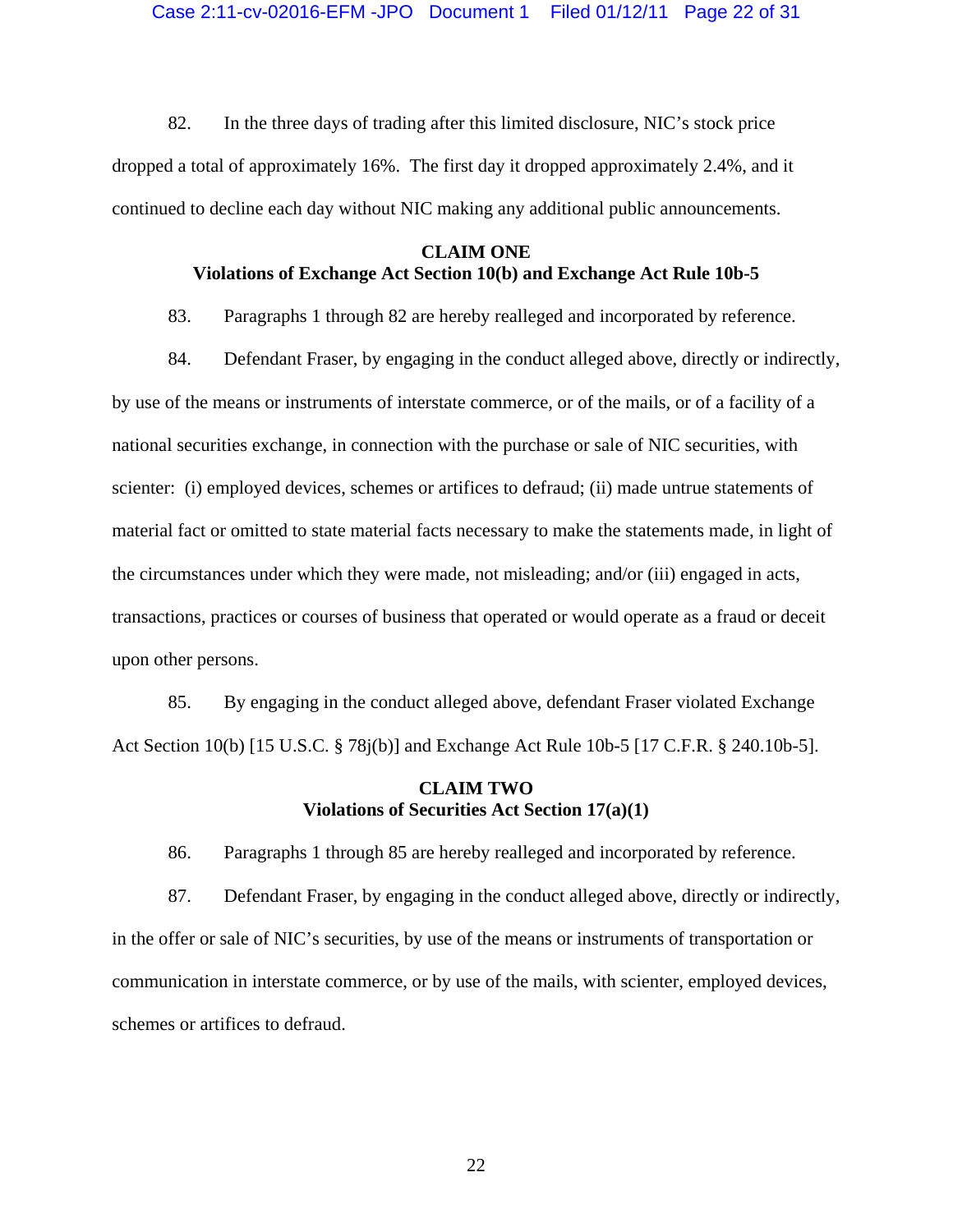82. In the three days of trading after this limited disclosure, NIC's stock price dropped a total of approximately 16%. The first day it dropped approximately 2.4%, and it continued to decline each day without NIC making any additional public announcements.

## **CLAIM ONE Violations of Exchange Act Section 10(b) and Exchange Act Rule 10b-5**

83. Paragraphs 1 through 82 are hereby realleged and incorporated by reference.

84. Defendant Fraser, by engaging in the conduct alleged above, directly or indirectly, by use of the means or instruments of interstate commerce, or of the mails, or of a facility of a national securities exchange, in connection with the purchase or sale of NIC securities, with scienter: (i) employed devices, schemes or artifices to defraud; (ii) made untrue statements of material fact or omitted to state material facts necessary to make the statements made, in light of the circumstances under which they were made, not misleading; and/or (iii) engaged in acts, transactions, practices or courses of business that operated or would operate as a fraud or deceit upon other persons.

85. By engaging in the conduct alleged above, defendant Fraser violated Exchange Act Section 10(b) [15 U.S.C. § 78j(b)] and Exchange Act Rule 10b-5 [17 C.F.R. § 240.10b-5].

# **CLAIM TWO Violations of Securities Act Section 17(a)(1)**

86. Paragraphs 1 through 85 are hereby realleged and incorporated by reference.

87. Defendant Fraser, by engaging in the conduct alleged above, directly or indirectly, in the offer or sale of NIC's securities, by use of the means or instruments of transportation or communication in interstate commerce, or by use of the mails, with scienter, employed devices, schemes or artifices to defraud.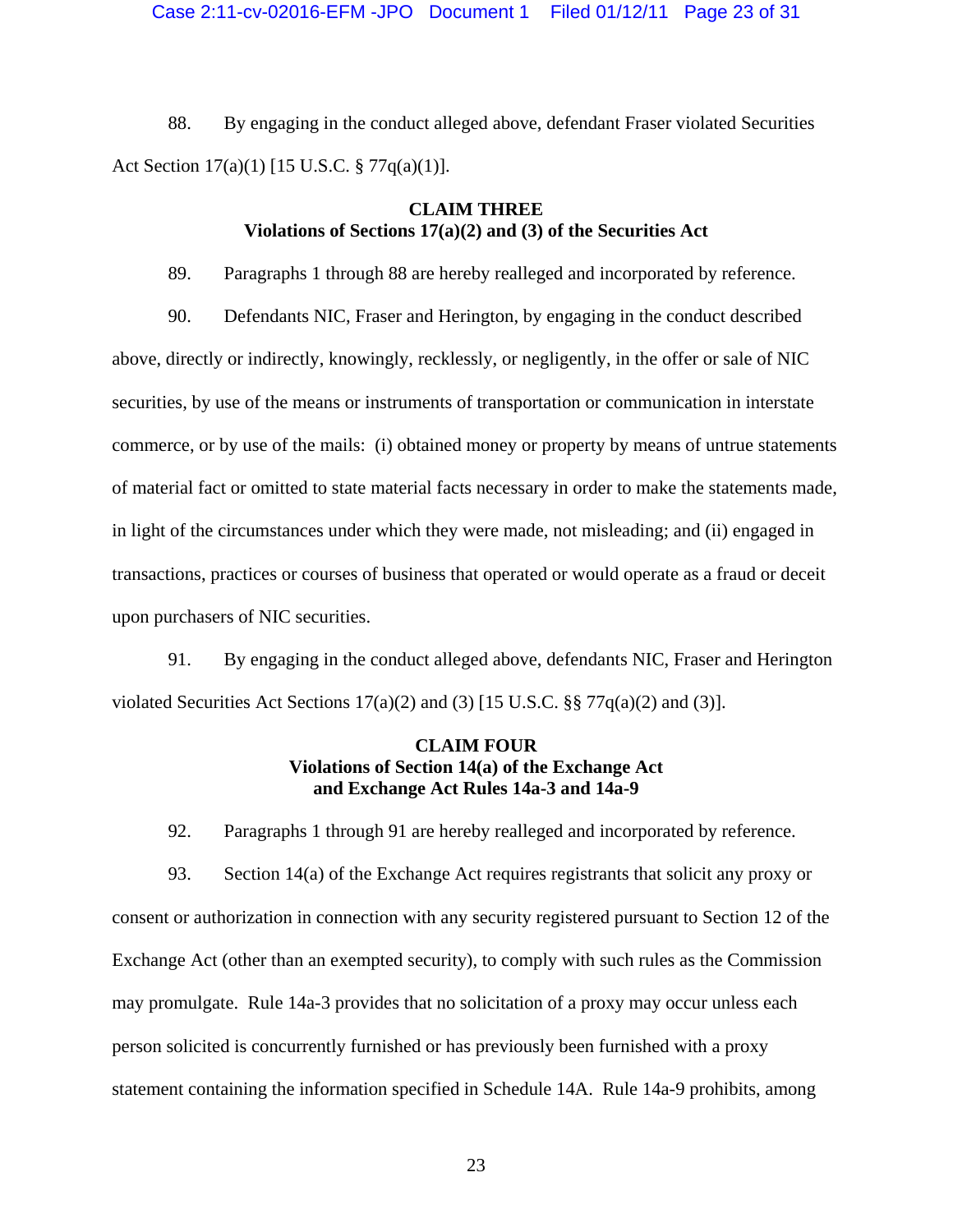88. By engaging in the conduct alleged above, defendant Fraser violated Securities Act Section 17(a)(1) [15 U.S.C. § 77q(a)(1)].

# **CLAIM THREE Violations of Sections 17(a)(2) and (3) of the Securities Act**

89. Paragraphs 1 through 88 are hereby realleged and incorporated by reference.

90. Defendants NIC, Fraser and Herington, by engaging in the conduct described above, directly or indirectly, knowingly, recklessly, or negligently, in the offer or sale of NIC securities, by use of the means or instruments of transportation or communication in interstate commerce, or by use of the mails: (i) obtained money or property by means of untrue statements of material fact or omitted to state material facts necessary in order to make the statements made, in light of the circumstances under which they were made, not misleading; and (ii) engaged in transactions, practices or courses of business that operated or would operate as a fraud or deceit upon purchasers of NIC securities.

91. By engaging in the conduct alleged above, defendants NIC, Fraser and Herington violated Securities Act Sections  $17(a)(2)$  and (3) [15 U.S.C. §§  $77q(a)(2)$  and (3)].

## **CLAIM FOUR Violations of Section 14(a) of the Exchange Act and Exchange Act Rules 14a-3 and 14a-9**

92. Paragraphs 1 through 91 are hereby realleged and incorporated by reference.

93. Section 14(a) of the Exchange Act requires registrants that solicit any proxy or consent or authorization in connection with any security registered pursuant to Section 12 of the Exchange Act (other than an exempted security), to comply with such rules as the Commission may promulgate. Rule 14a-3 provides that no solicitation of a proxy may occur unless each person solicited is concurrently furnished or has previously been furnished with a proxy statement containing the information specified in Schedule 14A. Rule 14a-9 prohibits, among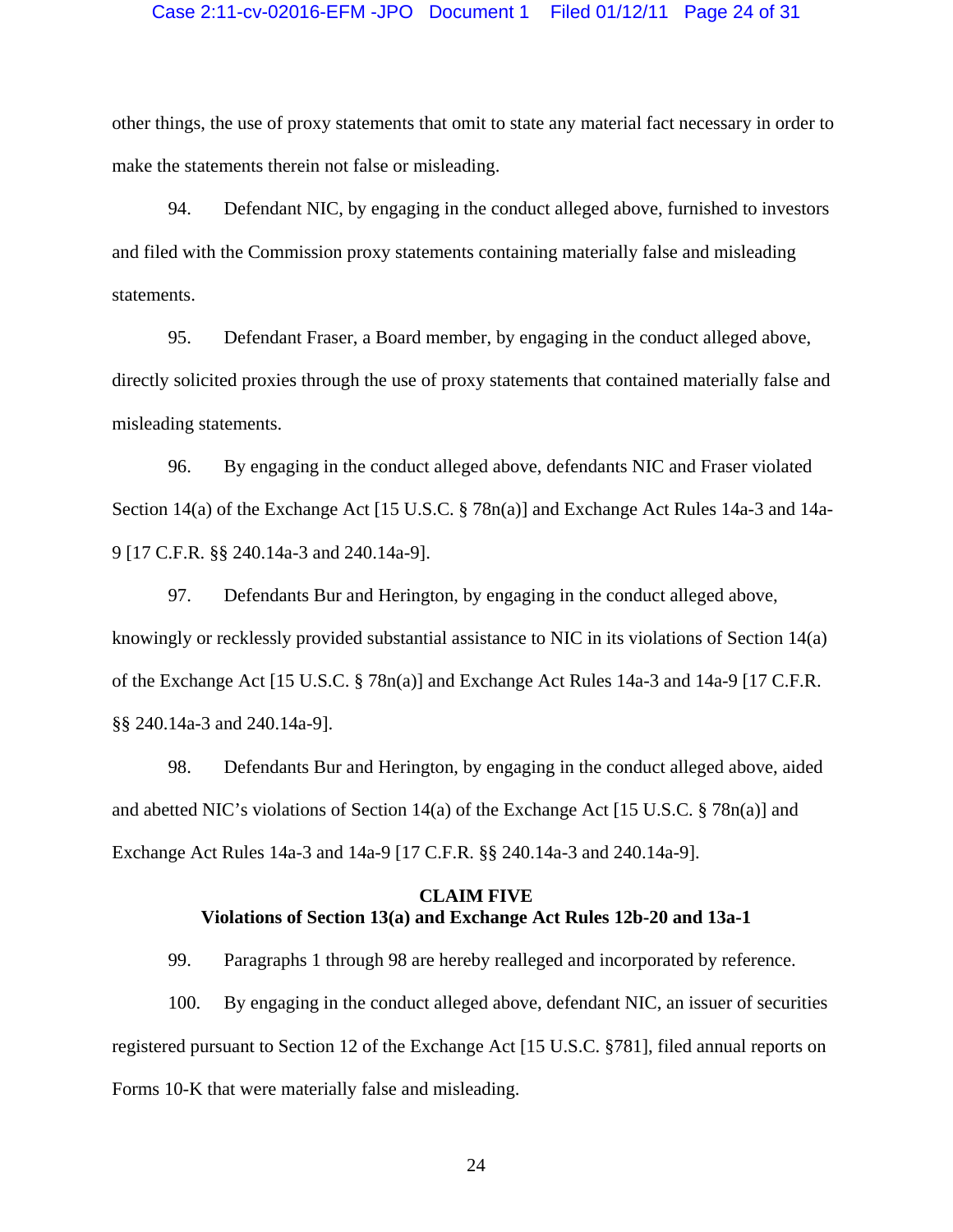### Case 2:11-cv-02016-EFM -JPO Document 1 Filed 01/12/11 Page 24 of 31

other things, the use of proxy statements that omit to state any material fact necessary in order to make the statements therein not false or misleading.

94. Defendant NIC, by engaging in the conduct alleged above, furnished to investors and filed with the Commission proxy statements containing materially false and misleading statements.

95. Defendant Fraser, a Board member, by engaging in the conduct alleged above, directly solicited proxies through the use of proxy statements that contained materially false and misleading statements.

96. By engaging in the conduct alleged above, defendants NIC and Fraser violated Section 14(a) of the Exchange Act [15 U.S.C. § 78n(a)] and Exchange Act Rules 14a-3 and 14a-9 [17 C.F.R. §§ 240.14a-3 and 240.14a-9].

97. Defendants Bur and Herington, by engaging in the conduct alleged above, knowingly or recklessly provided substantial assistance to NIC in its violations of Section 14(a) of the Exchange Act [15 U.S.C. § 78n(a)] and Exchange Act Rules 14a-3 and 14a-9 [17 C.F.R. §§ 240.14a-3 and 240.14a-9].

98. Defendants Bur and Herington, by engaging in the conduct alleged above, aided and abetted NIC's violations of Section 14(a) of the Exchange Act [15 U.S.C. § 78n(a)] and Exchange Act Rules 14a-3 and 14a-9 [17 C.F.R. §§ 240.14a-3 and 240.14a-9].

# **CLAIM FIVE Violations of Section 13(a) and Exchange Act Rules 12b-20 and 13a-1**

99. Paragraphs 1 through 98 are hereby realleged and incorporated by reference.

100. By engaging in the conduct alleged above, defendant NIC, an issuer of securities registered pursuant to Section 12 of the Exchange Act [15 U.S.C. §781], filed annual reports on Forms 10-K that were materially false and misleading.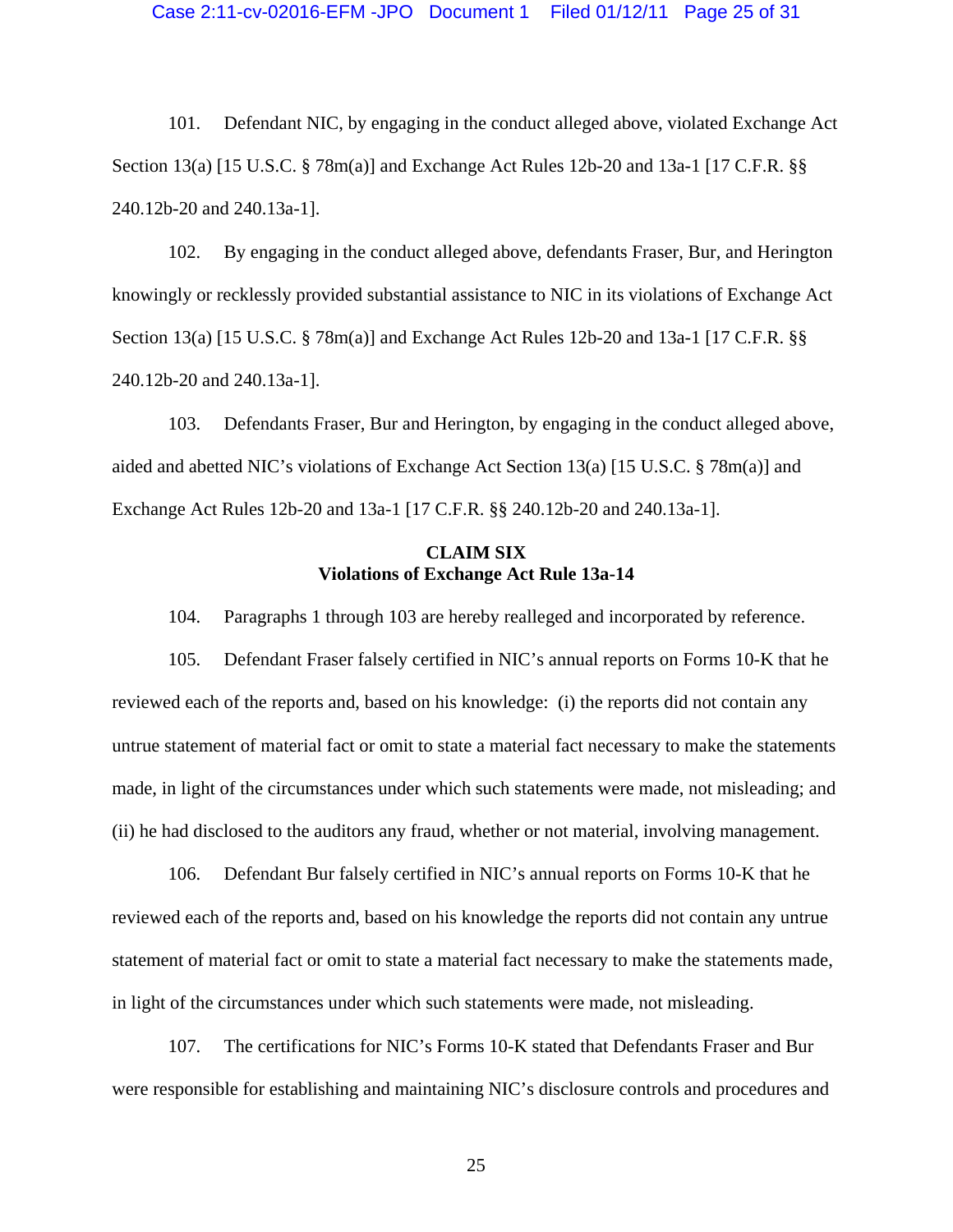101. Defendant NIC, by engaging in the conduct alleged above, violated Exchange Act Section 13(a) [15 U.S.C. § 78m(a)] and Exchange Act Rules 12b-20 and 13a-1 [17 C.F.R. §§ 240.12b-20 and 240.13a-1].

102. By engaging in the conduct alleged above, defendants Fraser, Bur, and Herington knowingly or recklessly provided substantial assistance to NIC in its violations of Exchange Act Section 13(a) [15 U.S.C. § 78m(a)] and Exchange Act Rules 12b-20 and 13a-1 [17 C.F.R. §§ 240.12b-20 and 240.13a-1].

103. Defendants Fraser, Bur and Herington, by engaging in the conduct alleged above, aided and abetted NIC's violations of Exchange Act Section 13(a) [15 U.S.C. § 78m(a)] and Exchange Act Rules 12b-20 and 13a-1 [17 C.F.R. §§ 240.12b-20 and 240.13a-1].

## **CLAIM SIX Violations of Exchange Act Rule 13a-14**

104. Paragraphs 1 through 103 are hereby realleged and incorporated by reference.

105. Defendant Fraser falsely certified in NIC's annual reports on Forms 10-K that he reviewed each of the reports and, based on his knowledge: (i) the reports did not contain any untrue statement of material fact or omit to state a material fact necessary to make the statements made, in light of the circumstances under which such statements were made, not misleading; and (ii) he had disclosed to the auditors any fraud, whether or not material, involving management.

106. Defendant Bur falsely certified in NIC's annual reports on Forms 10-K that he reviewed each of the reports and, based on his knowledge the reports did not contain any untrue statement of material fact or omit to state a material fact necessary to make the statements made, in light of the circumstances under which such statements were made, not misleading.

107. The certifications for NIC's Forms 10-K stated that Defendants Fraser and Bur were responsible for establishing and maintaining NIC's disclosure controls and procedures and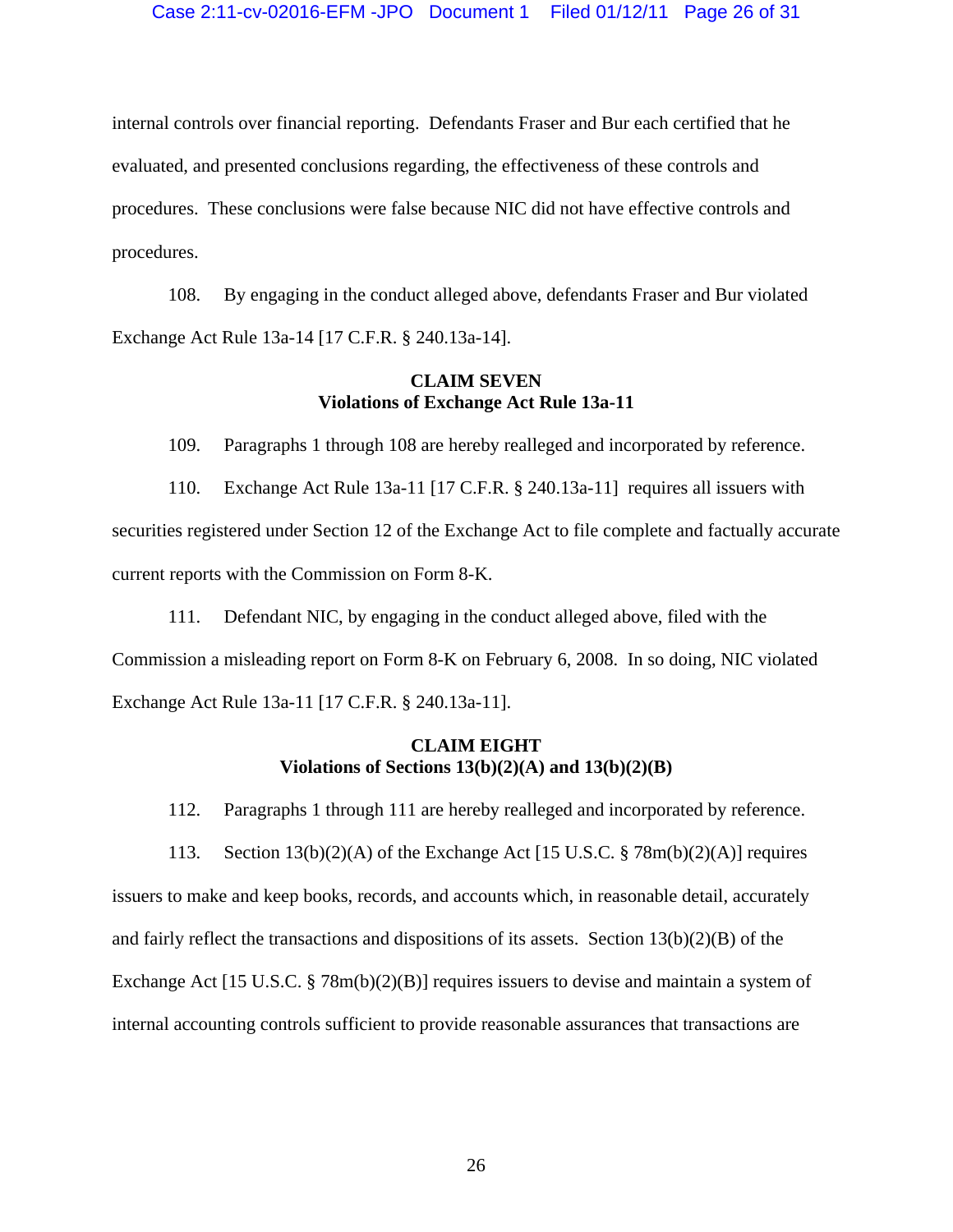internal controls over financial reporting. Defendants Fraser and Bur each certified that he evaluated, and presented conclusions regarding, the effectiveness of these controls and procedures. These conclusions were false because NIC did not have effective controls and procedures.

108. By engaging in the conduct alleged above, defendants Fraser and Bur violated Exchange Act Rule 13a-14 [17 C.F.R. § 240.13a-14].

## **CLAIM SEVEN Violations of Exchange Act Rule 13a-11**

109. Paragraphs 1 through 108 are hereby realleged and incorporated by reference.

110. Exchange Act Rule 13a-11 [17 C.F.R. § 240.13a-11] requires all issuers with securities registered under Section 12 of the Exchange Act to file complete and factually accurate current reports with the Commission on Form 8-K.

111. Defendant NIC, by engaging in the conduct alleged above, filed with the Commission a misleading report on Form 8-K on February 6, 2008. In so doing, NIC violated Exchange Act Rule 13a-11 [17 C.F.R. § 240.13a-11].

# **CLAIM EIGHT Violations of Sections 13(b)(2)(A) and 13(b)(2)(B)**

112. Paragraphs 1 through 111 are hereby realleged and incorporated by reference.

113. Section 13(b)(2)(A) of the Exchange Act [15 U.S.C. § 78m(b)(2)(A)] requires issuers to make and keep books, records, and accounts which, in reasonable detail, accurately and fairly reflect the transactions and dispositions of its assets. Section  $13(b)(2)(B)$  of the Exchange Act [15 U.S.C. § 78m(b)(2)(B)] requires issuers to devise and maintain a system of internal accounting controls sufficient to provide reasonable assurances that transactions are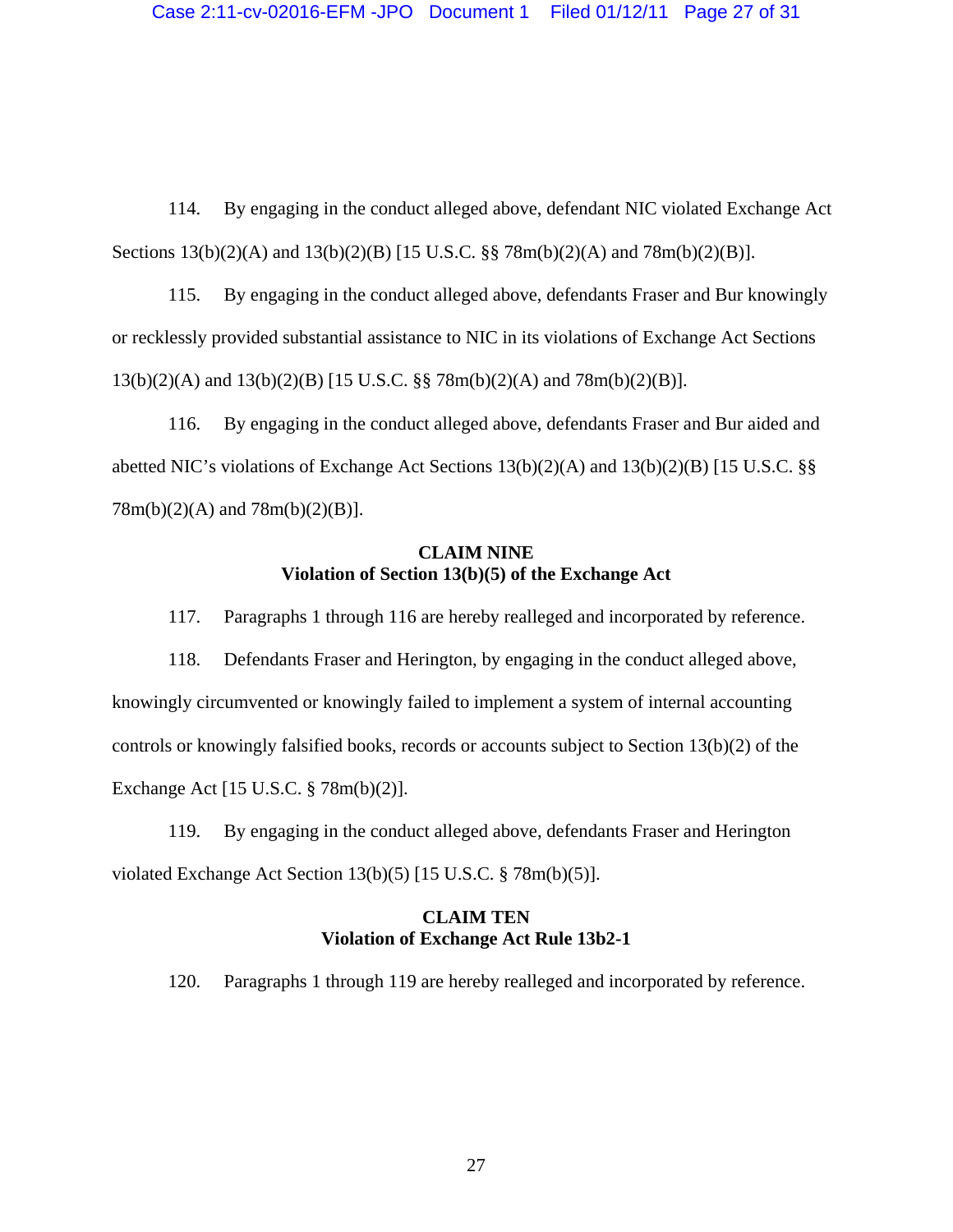114. By engaging in the conduct alleged above, defendant NIC violated Exchange Act Sections 13(b)(2)(A) and 13(b)(2)(B) [15 U.S.C. §§ 78m(b)(2)(A) and 78m(b)(2)(B)].

115. By engaging in the conduct alleged above, defendants Fraser and Bur knowingly or recklessly provided substantial assistance to NIC in its violations of Exchange Act Sections 13(b)(2)(A) and 13(b)(2)(B) [15 U.S.C. §§ 78m(b)(2)(A) and 78m(b)(2)(B)].

116. By engaging in the conduct alleged above, defendants Fraser and Bur aided and abetted NIC's violations of Exchange Act Sections 13(b)(2)(A) and 13(b)(2)(B) [15 U.S.C. §§ 78m(b)(2)(A) and 78m(b)(2)(B)].

## **CLAIM NINE Violation of Section 13(b)(5) of the Exchange Act**

117. Paragraphs 1 through 116 are hereby realleged and incorporated by reference.

118. Defendants Fraser and Herington, by engaging in the conduct alleged above, knowingly circumvented or knowingly failed to implement a system of internal accounting controls or knowingly falsified books, records or accounts subject to Section 13(b)(2) of the Exchange Act [15 U.S.C. § 78m(b)(2)].

119. By engaging in the conduct alleged above, defendants Fraser and Herington violated Exchange Act Section 13(b)(5) [15 U.S.C. § 78m(b)(5)].

# **CLAIM TEN Violation of Exchange Act Rule 13b2-1**

120. Paragraphs 1 through 119 are hereby realleged and incorporated by reference.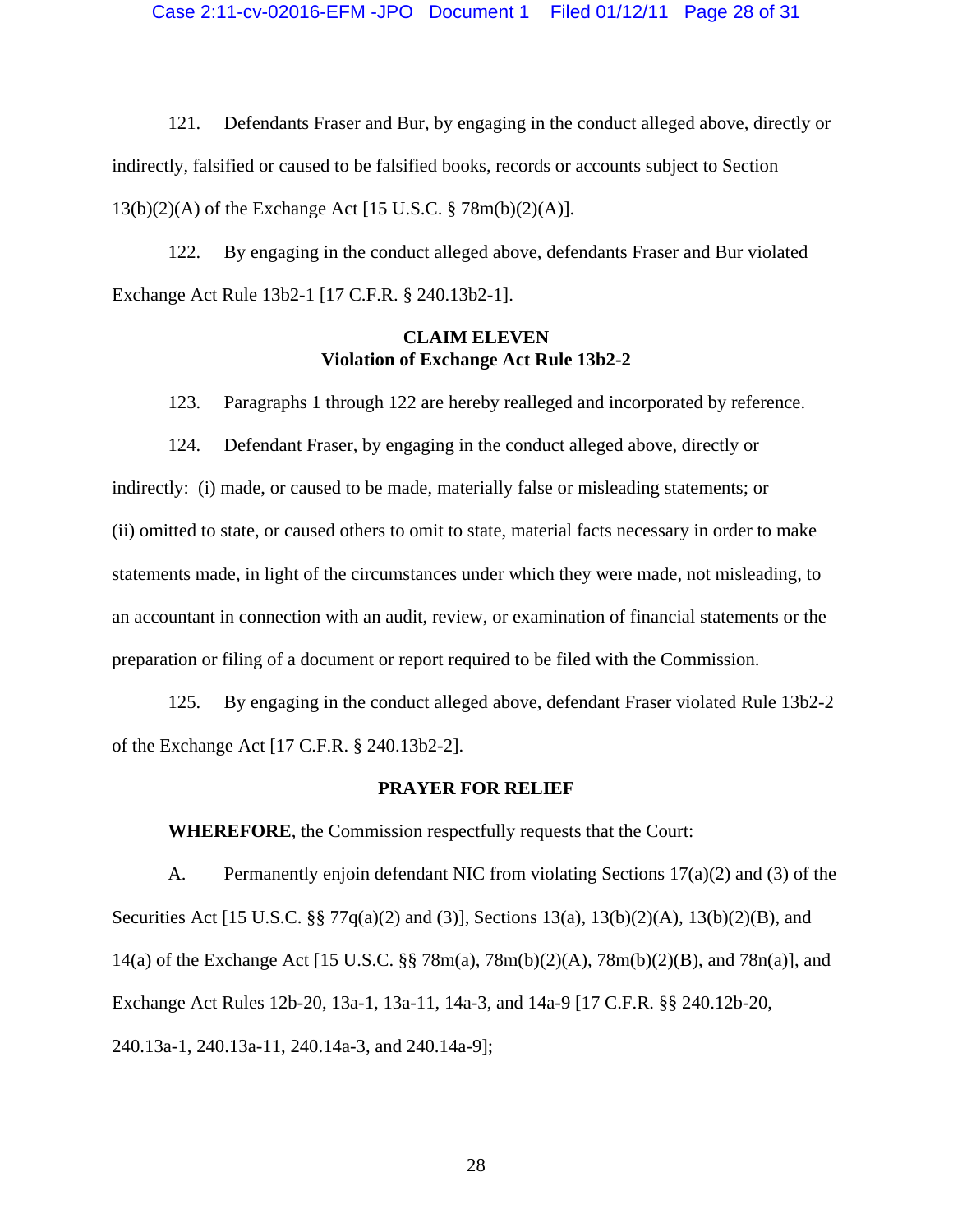121. Defendants Fraser and Bur, by engaging in the conduct alleged above, directly or indirectly, falsified or caused to be falsified books, records or accounts subject to Section 13(b)(2)(A) of the Exchange Act [15 U.S.C. § 78m(b)(2)(A)].

122. By engaging in the conduct alleged above, defendants Fraser and Bur violated Exchange Act Rule 13b2-1 [17 C.F.R. § 240.13b2-1].

## **CLAIM ELEVEN Violation of Exchange Act Rule 13b2-2**

123. Paragraphs 1 through 122 are hereby realleged and incorporated by reference.

124. Defendant Fraser, by engaging in the conduct alleged above, directly or indirectly: (i) made, or caused to be made, materially false or misleading statements; or (ii) omitted to state, or caused others to omit to state, material facts necessary in order to make statements made, in light of the circumstances under which they were made, not misleading, to an accountant in connection with an audit, review, or examination of financial statements or the preparation or filing of a document or report required to be filed with the Commission.

125. By engaging in the conduct alleged above, defendant Fraser violated Rule 13b2-2 of the Exchange Act [17 C.F.R. § 240.13b2-2].

## **PRAYER FOR RELIEF**

**WHEREFORE**, the Commission respectfully requests that the Court:

A. Permanently enjoin defendant NIC from violating Sections 17(a)(2) and (3) of the Securities Act [15 U.S.C. §§ 77q(a)(2) and (3)], Sections 13(a), 13(b)(2)(A), 13(b)(2)(B), and 14(a) of the Exchange Act [15 U.S.C. §§ 78m(a), 78m(b)(2)(A), 78m(b)(2)(B), and 78n(a)], and Exchange Act Rules 12b-20, 13a-1, 13a-11, 14a-3, and 14a-9 [17 C.F.R. §§ 240.12b-20, 240.13a-1, 240.13a-11, 240.14a-3, and 240.14a-9];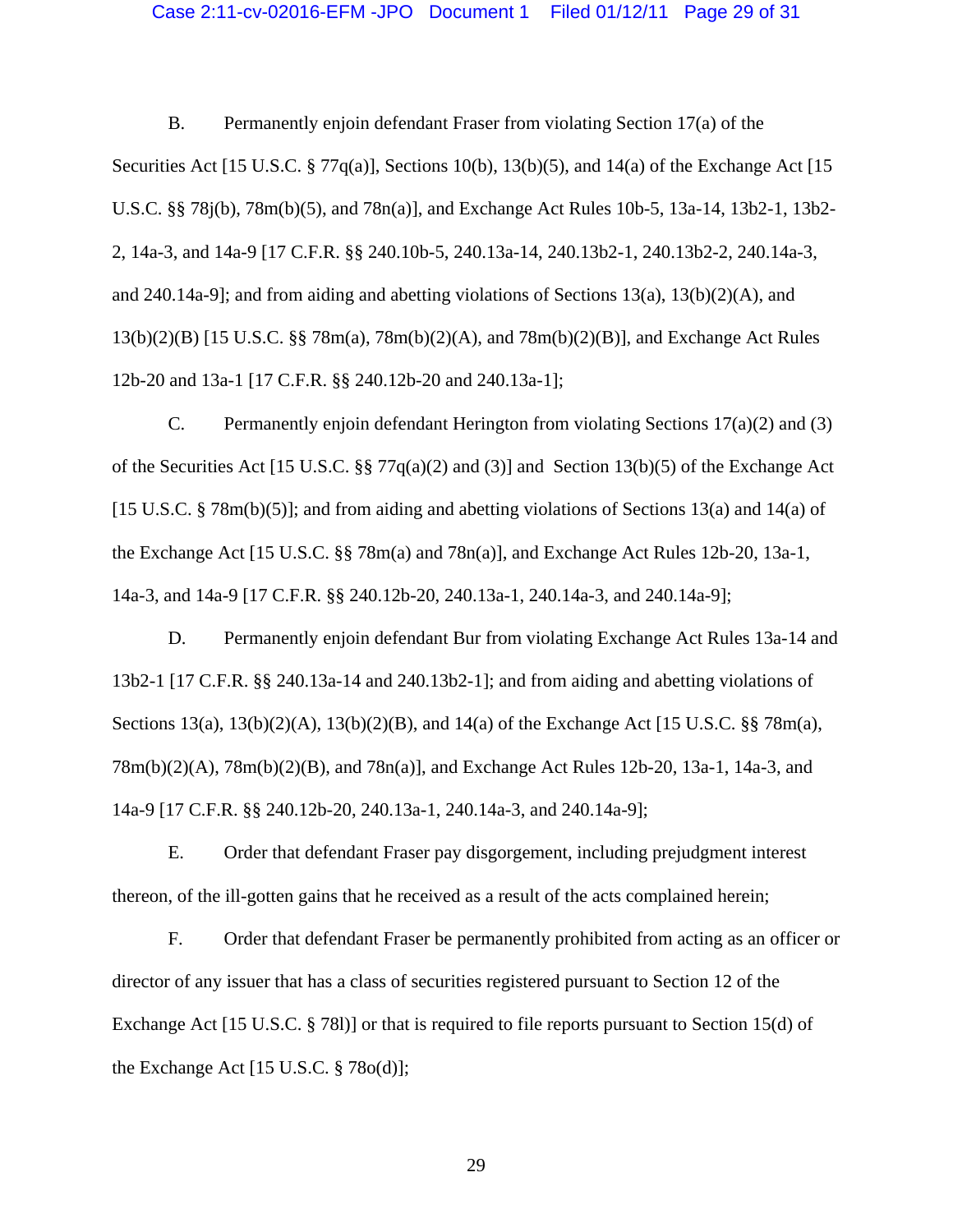### Case 2:11-cv-02016-EFM -JPO Document 1 Filed 01/12/11 Page 29 of 31

B. Permanently enjoin defendant Fraser from violating Section 17(a) of the Securities Act [15 U.S.C. § 77 $q(a)$ ], Sections 10(b), 13(b)(5), and 14(a) of the Exchange Act [15 U.S.C. §§ 78j(b), 78m(b)(5), and 78n(a)], and Exchange Act Rules 10b-5, 13a-14, 13b2-1, 13b2- 2, 14a-3, and 14a-9 [17 C.F.R. §§ 240.10b-5, 240.13a-14, 240.13b2-1, 240.13b2-2, 240.14a-3, and 240.14a-9]; and from aiding and abetting violations of Sections 13(a), 13(b)(2)(A), and 13(b)(2)(B) [15 U.S.C. §§ 78m(a), 78m(b)(2)(A), and 78m(b)(2)(B)], and Exchange Act Rules 12b-20 and 13a-1 [17 C.F.R. §§ 240.12b-20 and 240.13a-1];

C. Permanently enjoin defendant Herington from violating Sections  $17(a)(2)$  and (3) of the Securities Act [15 U.S.C. §§ 77q(a)(2) and (3)] and Section 13(b)(5) of the Exchange Act [15 U.S.C. § 78m(b)(5)]; and from aiding and abetting violations of Sections 13(a) and 14(a) of the Exchange Act [15 U.S.C. §§ 78m(a) and 78n(a)], and Exchange Act Rules 12b-20, 13a-1, 14a-3, and 14a-9 [17 C.F.R. §§ 240.12b-20, 240.13a-1, 240.14a-3, and 240.14a-9];

D. Permanently enjoin defendant Bur from violating Exchange Act Rules 13a-14 and 13b2-1 [17 C.F.R. §§ 240.13a-14 and 240.13b2-1]; and from aiding and abetting violations of Sections  $13(a)$ ,  $13(b)(2)(A)$ ,  $13(b)(2)(B)$ , and  $14(a)$  of the Exchange Act [15 U.S.C. §§ 78m(a), 78m(b)(2)(A), 78m(b)(2)(B), and 78n(a)], and Exchange Act Rules 12b-20, 13a-1, 14a-3, and 14a-9 [17 C.F.R. §§ 240.12b-20, 240.13a-1, 240.14a-3, and 240.14a-9];

E. Order that defendant Fraser pay disgorgement, including prejudgment interest thereon, of the ill-gotten gains that he received as a result of the acts complained herein;

F. Order that defendant Fraser be permanently prohibited from acting as an officer or director of any issuer that has a class of securities registered pursuant to Section 12 of the Exchange Act [15 U.S.C. § 78l)] or that is required to file reports pursuant to Section 15(d) of the Exchange Act [15 U.S.C. § 78o(d)];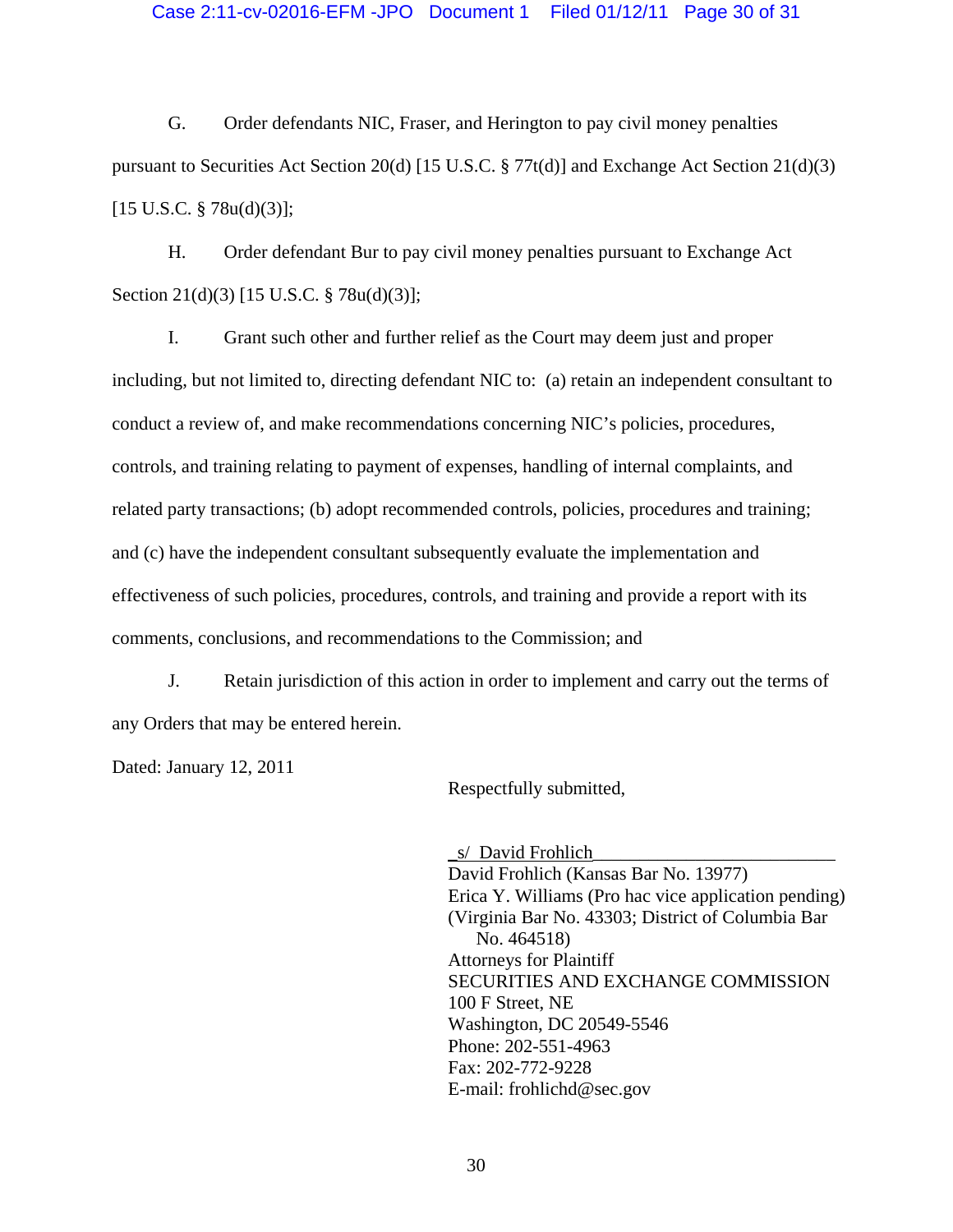G. Order defendants NIC, Fraser, and Herington to pay civil money penalties pursuant to Securities Act Section 20(d) [15 U.S.C. § 77t(d)] and Exchange Act Section 21(d)(3)  $[15 \text{ U.S.C. } § 78u(d)(3)];$ 

H. Order defendant Bur to pay civil money penalties pursuant to Exchange Act Section 21(d)(3) [15 U.S.C. § 78u(d)(3)];

I. Grant such other and further relief as the Court may deem just and proper including, but not limited to, directing defendant NIC to: (a) retain an independent consultant to conduct a review of, and make recommendations concerning NIC's policies, procedures, controls, and training relating to payment of expenses, handling of internal complaints, and related party transactions; (b) adopt recommended controls, policies, procedures and training; and (c) have the independent consultant subsequently evaluate the implementation and effectiveness of such policies, procedures, controls, and training and provide a report with its comments, conclusions, and recommendations to the Commission; and

J. Retain jurisdiction of this action in order to implement and carry out the terms of any Orders that may be entered herein.

Dated: January 12, 2011

Respectfully submitted,

\_s/ David Frohlich\_\_\_\_\_\_\_\_\_\_\_\_\_\_\_\_\_\_\_\_\_\_\_\_\_\_ David Frohlich (Kansas Bar No. 13977) Erica Y. Williams (Pro hac vice application pending) (Virginia Bar No. 43303; District of Columbia Bar No. 464518) Attorneys for Plaintiff SECURITIES AND EXCHANGE COMMISSION 100 F Street, NE Washington, DC 20549-5546 Phone: 202-551-4963 Fax: 202-772-9228 E-mail: frohlichd@sec.gov